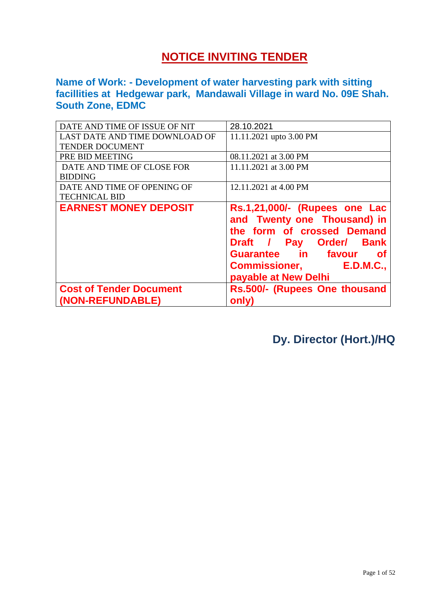# **NOTICE INVITING TENDER**

**Name of Work: - Development of water harvesting park with sitting facillities at Hedgewar park, Mandawali Village in ward No. 09E Shah. South Zone, EDMC**

| DATE AND TIME OF ISSUE OF NIT  | 28.10.2021                                                                                                                                                                                                                       |
|--------------------------------|----------------------------------------------------------------------------------------------------------------------------------------------------------------------------------------------------------------------------------|
| LAST DATE AND TIME DOWNLOAD OF | 11.11.2021 upto 3.00 PM                                                                                                                                                                                                          |
| TENDER DOCUMENT                |                                                                                                                                                                                                                                  |
| PRE BID MEETING                | 08.11.2021 at 3.00 PM                                                                                                                                                                                                            |
| DATE AND TIME OF CLOSE FOR     | 11.11.2021 at 3.00 PM                                                                                                                                                                                                            |
| <b>BIDDING</b>                 |                                                                                                                                                                                                                                  |
| DATE AND TIME OF OPENING OF    | 12.11.2021 at 4.00 PM                                                                                                                                                                                                            |
| <b>TECHNICAL BID</b>           |                                                                                                                                                                                                                                  |
|                                |                                                                                                                                                                                                                                  |
| <b>EARNEST MONEY DEPOSIT</b>   | Rs.1,21,000/- (Rupees one Lac<br>and Twenty one Thousand) in<br>the form of crossed Demand<br>Draft / Pay Order/<br><b>Bank</b><br>Guarantee in favour<br>of<br><b>E.D.M.C.,</b><br><b>Commissioner,</b><br>payable at New Delhi |
| <b>Cost of Tender Document</b> | Rs.500/- (Rupees One thousand                                                                                                                                                                                                    |

**Dy. Director (Hort.)/HQ**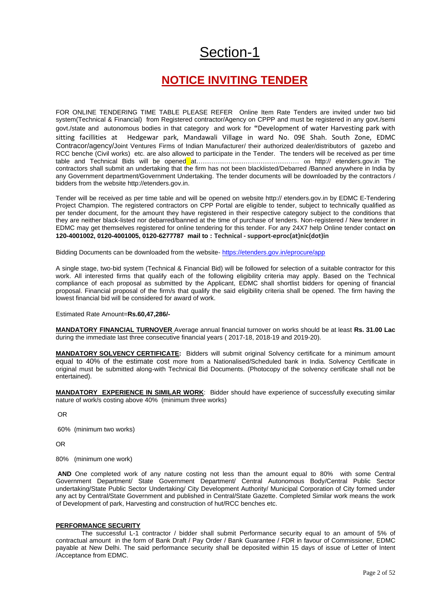# Section-1

# **NOTICE INVITING TENDER**

FOR ONLINE TENDERING TIME TABLE PLEASE REFER Online Item Rate Tenders are invited under two bid system(Technical & Financial) from Registered contractor/Agency on CPPP and must be registered in any govt./semi govt./state and autonomous bodies in that category and work for **"**Development of water Harvesting park with sitting facillities at Hedgewar park, Mandawali Village in ward No. 09E Shah. South Zone, EDMC Contracor/agency/Joint Ventures Firms of Indian Manufacturer/ their authorized dealer/distributors of gazebo and RCC benche (Civil works) etc. are also allowed to participate in the Tender. The tenders will be received as per time table and Technical Bids will be opened at………………………………………… on http:// etenders.gov.in The contractors shall submit an undertaking that the firm has not been blacklisted/Debarred /Banned anywhere in India by any Government department/Government Undertaking. The tender documents will be downloaded by the contractors / bidders from the website http://etenders.gov.in.

Tender will be received as per time table and will be opened on website http:// etenders.gov.in by EDMC E-Tendering Project Champion. The registered contractors on CPP Portal are eligible to tender, subject to technically qualified as per tender document, for the amount they have registered in their respective category subject to the conditions that they are neither black-listed nor debarred/banned at the time of purchase of tenders. Non-registered / New tenderer in EDMC may get themselves registered for online tendering for this tender. For any 24X7 help Online tender contact **on 120-4001002, 0120-4001005, 0120-6277787 mail to : Technical - support-eproc(at)nic(dot)in**

Bidding Documents can be downloaded from the website- <https://etenders.gov.in/eprocure/app>

A single stage, two-bid system (Technical & Financial Bid) will be followed for selection of a suitable contractor for this work. All interested firms that qualify each of the following eligibility criteria may apply. Based on the Technical compliance of each proposal as submitted by the Applicant, EDMC shall shortlist bidders for opening of financial proposal. Financial proposal of the firm/s that qualify the said eligibility criteria shall be opened. The firm having the lowest financial bid will be considered for award of work.

Estimated Rate Amount=**Rs.60,47,286/-**

**MANDATORY FINANCIAL TURNOVER** Average annual financial turnover on works should be at least **Rs. 31.00 Lac** during the immediate last three consecutive financial years ( 2017-18, 2018-19 and 2019-20).

**MANDATORY SOLVENCY CERTIFICATE:** Bidders will submit original Solvency certificate for a minimum amount equal to 40% of the estimate cost more from a Nationalised/Scheduled bank in India. Solvency Certificate in original must be submitted along-with Technical Bid Documents. (Photocopy of the solvency certificate shall not be entertained).

**MANDATORY EXPERIENCE IN SIMILAR WORK**: Bidder should have experience of successfully executing similar nature of work/s costing above 40% (minimum three works)

OR

60% (minimum two works)

OR

80% (minimum one work)

**AND** One completed work of any nature costing not less than the amount equal to 80% with some Central Government Department/ State Government Department/ Central Autonomous Body/Central Public Sector undertaking/State Public Sector Undertaking/ City Development Authority/ Municipal Corporation of City formed under any act by Central/State Government and published in Central/State Gazette. Completed Similar work means the work of Development of park, Harvesting and construction of hut/RCC benches etc.

#### **PERFORMANCE SECURITY**

The successful L-1 contractor / bidder shall submit Performance security equal to an amount of 5% of contractual amount in the form of Bank Draft / Pay Order / Bank Guarantee / FDR in favour of Commissioner, EDMC payable at New Delhi. The said performance security shall be deposited within 15 days of issue of Letter of Intent /Acceptance from EDMC.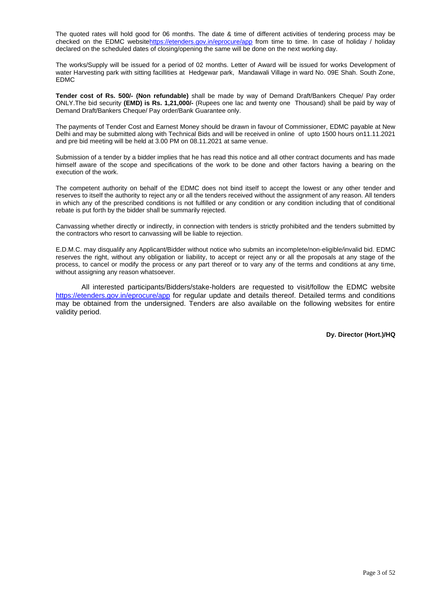The quoted rates will hold good for 06 months. The date & time of different activities of tendering process may be checked on the EDMC websit[ehttps://etenders.gov.in/eprocure/app](https://etenders.gov.in/eprocure/app) from time to time. In case of holiday / holiday declared on the scheduled dates of closing/opening the same will be done on the next working day.

The works/Supply will be issued for a period of 02 months. Letter of Award will be issued for works Development of water Harvesting park with sitting facillities at Hedgewar park, Mandawali Village in ward No. 09E Shah. South Zone, EDMC

**Tender cost of Rs. 500/- (Non refundable)** shall be made by way of Demand Draft/Bankers Cheque/ Pay order ONLY.The bid security **(EMD) is Rs. 1,21,000/-** (Rupees one lac and twenty one Thousand) shall be paid by way of Demand Draft/Bankers Cheque/ Pay order/Bank Guarantee only.

The payments of Tender Cost and Earnest Money should be drawn in favour of Commissioner, EDMC payable at New Delhi and may be submitted along with Technical Bids and will be received in online of upto 1500 hours on11.11.2021 and pre bid meeting will be held at 3.00 PM on 08.11.2021 at same venue.

Submission of a tender by a bidder implies that he has read this notice and all other contract documents and has made himself aware of the scope and specifications of the work to be done and other factors having a bearing on the execution of the work.

The competent authority on behalf of the EDMC does not bind itself to accept the lowest or any other tender and reserves to itself the authority to reject any or all the tenders received without the assignment of any reason. All tenders in which any of the prescribed conditions is not fulfilled or any condition or any condition including that of conditional rebate is put forth by the bidder shall be summarily rejected.

Canvassing whether directly or indirectly, in connection with tenders is strictly prohibited and the tenders submitted by the contractors who resort to canvassing will be liable to rejection.

E.D.M.C. may disqualify any Applicant/Bidder without notice who submits an incomplete/non-eligible/invalid bid. EDMC reserves the right, without any obligation or liability, to accept or reject any or all the proposals at any stage of the process, to cancel or modify the process or any part thereof or to vary any of the terms and conditions at any time, without assigning any reason whatsoever.

All interested participants/Bidders/stake-holders are requested to visit/follow the EDMC website <https://etenders.gov.in/eprocure/app> for regular update and details thereof. Detailed terms and conditions may be obtained from the undersigned. Tenders are also available on the following websites for entire validity period.

**Dy. Director (Hort.)/HQ**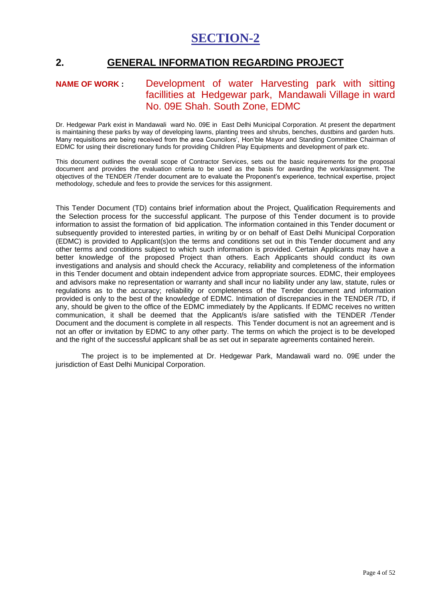# **2. GENERAL INFORMATION REGARDING PROJECT**

## **NAME OF WORK :** Development of water Harvesting park with sitting facillities at Hedgewar park, Mandawali Village in ward No. 09E Shah. South Zone, EDMC

Dr. Hedgewar Park exist in Mandawali ward No. 09E in East Delhi Municipal Corporation. At present the department is maintaining these parks by way of developing lawns, planting trees and shrubs, benches, dustbins and garden huts. Many requisitions are being received from the area Councilors', Hon'ble Mayor and Standing Committee Chairman of EDMC for using their discretionary funds for providing Children Play Equipments and development of park etc.

This document outlines the overall scope of Contractor Services, sets out the basic requirements for the proposal document and provides the evaluation criteria to be used as the basis for awarding the work/assignment. The objectives of the TENDER /Tender document are to evaluate the Proponent's experience, technical expertise, project methodology, schedule and fees to provide the services for this assignment.

This Tender Document (TD) contains brief information about the Project, Qualification Requirements and the Selection process for the successful applicant. The purpose of this Tender document is to provide information to assist the formation of bid application. The information contained in this Tender document or subsequently provided to interested parties, in writing by or on behalf of East Delhi Municipal Corporation (EDMC) is provided to Applicant(s)on the terms and conditions set out in this Tender document and any other terms and conditions subject to which such information is provided. Certain Applicants may have a better knowledge of the proposed Project than others. Each Applicants should conduct its own investigations and analysis and should check the Accuracy, reliability and completeness of the information in this Tender document and obtain independent advice from appropriate sources. EDMC, their employees and advisors make no representation or warranty and shall incur no liability under any law, statute, rules or regulations as to the accuracy; reliability or completeness of the Tender document and information provided is only to the best of the knowledge of EDMC. Intimation of discrepancies in the TENDER /TD, if any, should be given to the office of the EDMC immediately by the Applicants. If EDMC receives no written communication, it shall be deemed that the Applicant/s is/are satisfied with the TENDER /Tender Document and the document is complete in all respects. This Tender document is not an agreement and is not an offer or invitation by EDMC to any other party. The terms on which the project is to be developed and the right of the successful applicant shall be as set out in separate agreements contained herein.

The project is to be implemented at Dr. Hedgewar Park, Mandawali ward no. 09E under the jurisdiction of East Delhi Municipal Corporation.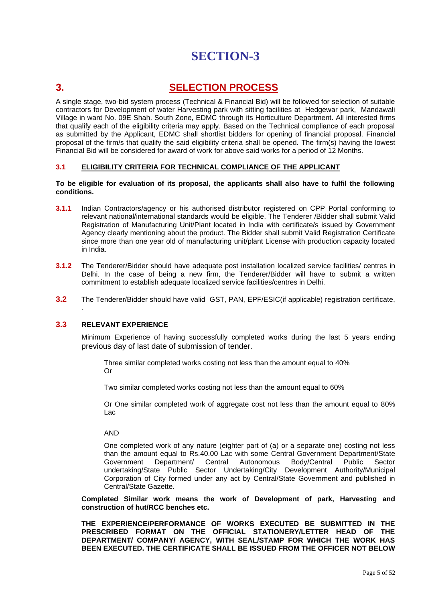# **3. SELECTION PROCESS**

A single stage, two-bid system process (Technical & Financial Bid) will be followed for selection of suitable contractors for Development of water Harvesting park with sitting facilities at Hedgewar park, Mandawali Village in ward No. 09E Shah. South Zone, EDMC through its Horticulture Department. All interested firms that qualify each of the eligibility criteria may apply. Based on the Technical compliance of each proposal as submitted by the Applicant, EDMC shall shortlist bidders for opening of financial proposal. Financial proposal of the firm/s that qualify the said eligibility criteria shall be opened. The firm(s) having the lowest Financial Bid will be considered for award of work for above said works for a period of 12 Months.

#### **3.1 ELIGIBILITY CRITERIA FOR TECHNICAL COMPLIANCE OF THE APPLICANT**

#### **To be eligible for evaluation of its proposal, the applicants shall also have to fulfil the following conditions.**

- **3.1.1** Indian Contractors/agency or his authorised distributor registered on CPP Portal conforming to relevant national/international standards would be eligible. The Tenderer /Bidder shall submit Valid Registration of Manufacturing Unit/Plant located in India with certificate/s issued by Government Agency clearly mentioning about the product. The Bidder shall submit Valid Registration Certificate since more than one year old of manufacturing unit/plant License with production capacity located in India.
- **3.1.2** The Tenderer/Bidder should have adequate post installation localized service facilities/ centres in Delhi. In the case of being a new firm, the Tenderer/Bidder will have to submit a written commitment to establish adequate localized service facilities/centres in Delhi.
- **3.2** The Tenderer/Bidder should have valid GST, PAN, EPF/ESIC(if applicable) registration certificate,

#### **3.3 RELEVANT EXPERIENCE**

.

Minimum Experience of having successfully completed works during the last 5 years ending previous day of last date of submission of tender.

Three similar completed works costing not less than the amount equal to 40% Or

Two similar completed works costing not less than the amount equal to 60%

Or One similar completed work of aggregate cost not less than the amount equal to 80% Lac

AND

One completed work of any nature (eighter part of (a) or a separate one) costing not less than the amount equal to Rs.40.00 Lac with some Central Government Department/State Government Department/ Central Autonomous Body/Central Public Sector undertaking/State Public Sector Undertaking/City Development Authority/Municipal Corporation of City formed under any act by Central/State Government and published in Central/State Gazette.

**Completed Similar work means the work of Development of park, Harvesting and construction of hut/RCC benches etc.**

**THE EXPERIENCE/PERFORMANCE OF WORKS EXECUTED BE SUBMITTED IN THE PRESCRIBED FORMAT ON THE OFFICIAL STATIONERY/LETTER HEAD OF THE DEPARTMENT/ COMPANY/ AGENCY, WITH SEAL/STAMP FOR WHICH THE WORK HAS BEEN EXECUTED. THE CERTIFICATE SHALL BE ISSUED FROM THE OFFICER NOT BELOW**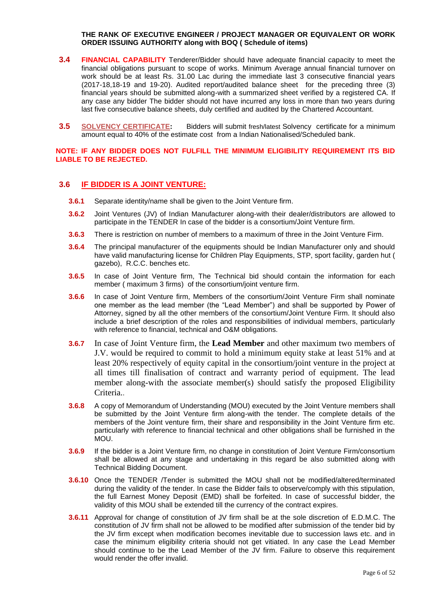#### **THE RANK OF EXECUTIVE ENGINEER / PROJECT MANAGER OR EQUIVALENT OR WORK ORDER ISSUING AUTHORITY along with BOQ ( Schedule of items)**

- **3.4 FINANCIAL CAPABILITY** Tenderer/Bidder should have adequate financial capacity to meet the financial obligations pursuant to scope of works. Minimum Average annual financial turnover on work should be at least Rs. 31.00 Lac during the immediate last 3 consecutive financial years (2017-18,18-19 and 19-20). Audited report/audited balance sheet for the preceding three (3) financial years should be submitted along-with a summarized sheet verified by a registered CA. If any case any bidder The bidder should not have incurred any loss in more than two years during last five consecutive balance sheets, duly certified and audited by the Chartered Accountant.
- **3.5 SOLVENCY CERTIFICATE:** Bidders will submit fresh/latest Solvency certificate for a minimum amount equal to 40% of the estimate cost from a Indian Nationalised/Scheduled bank.

**NOTE: IF ANY BIDDER DOES NOT FULFILL THE MINIMUM ELIGIBILITY REQUIREMENT ITS BID LIABLE TO BE REJECTED.**

## **3.6 IF BIDDER IS A JOINT VENTURE:**

- **3.6.1** Separate identity/name shall be given to the Joint Venture firm.
- **3.6.2** Joint Ventures (JV) of Indian Manufacturer along-with their dealer/distributors are allowed to participate in the TENDER In case of the bidder is a consortium/Joint Venture firm.
- **3.6.3** There is restriction on number of members to a maximum of three in the Joint Venture Firm.
- **3.6.4** The principal manufacturer of the equipments should be Indian Manufacturer only and should have valid manufacturing license for Children Play Equipments, STP, sport facility, garden hut ( gazebo), R.C.C. benches etc.
- **3.6.5** In case of Joint Venture firm, The Technical bid should contain the information for each member ( maximum 3 firms) of the consortium/joint venture firm.
- **3.6.6** In case of Joint Venture firm, Members of the consortium/Joint Venture Firm shall nominate one member as the lead member (the "Lead Member") and shall be supported by Power of Attorney, signed by all the other members of the consortium/Joint Venture Firm. It should also include a brief description of the roles and responsibilities of individual members, particularly with reference to financial, technical and O&M obligations.
- **3.6.7** In case of Joint Venture firm, the **Lead Member** and other maximum two members of J.V. would be required to commit to hold a minimum equity stake at least 51% and at least 20% respectively of equity capital in the consortium/joint venture in the project at all times till finalisation of contract and warranty period of equipment. The lead member along-with the associate member(s) should satisfy the proposed Eligibility Criteria..
- **3.6.8** A copy of Memorandum of Understanding (MOU) executed by the Joint Venture members shall be submitted by the Joint Venture firm along-with the tender. The complete details of the members of the Joint venture firm, their share and responsibility in the Joint Venture firm etc. particularly with reference to financial technical and other obligations shall be furnished in the MOU.
- **3.6.9** If the bidder is a Joint Venture firm, no change in constitution of Joint Venture Firm/consortium shall be allowed at any stage and undertaking in this regard be also submitted along with Technical Bidding Document.
- **3.6.10** Once the TENDER /Tender is submitted the MOU shall not be modified/altered/terminated during the validity of the tender. In case the Bidder fails to observe/comply with this stipulation, the full Earnest Money Deposit (EMD) shall be forfeited. In case of successful bidder, the validity of this MOU shall be extended till the currency of the contract expires.
- **3.6.11** Approval for change of constitution of JV firm shall be at the sole discretion of E.D.M.C. The constitution of JV firm shall not be allowed to be modified after submission of the tender bid by the JV firm except when modification becomes inevitable due to succession laws etc. and in case the minimum eligibility criteria should not get vitiated. In any case the Lead Member should continue to be the Lead Member of the JV firm. Failure to observe this requirement would render the offer invalid.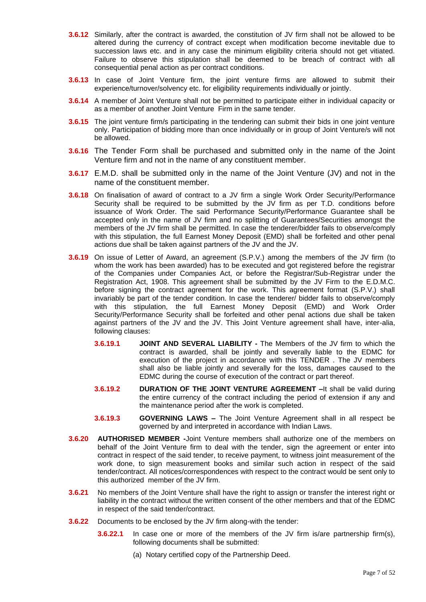- **3.6.12** Similarly, after the contract is awarded, the constitution of JV firm shall not be allowed to be altered during the currency of contract except when modification become inevitable due to succession laws etc. and in any case the minimum eligibility criteria should not get vitiated. Failure to observe this stipulation shall be deemed to be breach of contract with all consequential penal action as per contract conditions.
- **3.6.13** In case of Joint Venture firm, the joint venture firms are allowed to submit their experience/turnover/solvency etc. for eligibility requirements individually or jointly.
- **3.6.14** A member of Joint Venture shall not be permitted to participate either in individual capacity or as a member of another Joint Venture Firm in the same tender.
- **3.6.15** The joint venture firm/s participating in the tendering can submit their bids in one joint venture only. Participation of bidding more than once individually or in group of Joint Venture/s will not be allowed.
- **3.6.16** The Tender Form shall be purchased and submitted only in the name of the Joint Venture firm and not in the name of any constituent member.
- **3.6.17** E.M.D. shall be submitted only in the name of the Joint Venture (JV) and not in the name of the constituent member.
- **3.6.18** On finalisation of award of contract to a JV firm a single Work Order Security/Performance Security shall be required to be submitted by the  $J\bar{V}$  firm as per T.D. conditions before issuance of Work Order. The said Performance Security/Performance Guarantee shall be accepted only in the name of JV firm and no splitting of Guarantees/Securities amongst the members of the JV firm shall be permitted. In case the tenderer/bidder fails to observe/comply with this stipulation, the full Earnest Money Deposit (EMD) shall be forfeited and other penal actions due shall be taken against partners of the JV and the JV.
- **3.6.19** On issue of Letter of Award, an agreement (S.P.V.) among the members of the JV firm (to whom the work has been awarded) has to be executed and got registered before the registrar of the Companies under Companies Act, or before the Registrar/Sub-Registrar under the Registration Act, 1908. This agreement shall be submitted by the JV Firm to the E.D.M.C. before signing the contract agreement for the work. This agreement format (S.P.V.) shall invariably be part of the tender condition. In case the tenderer/ bidder fails to observe/comply with this stipulation, the full Earnest Money Deposit (EMD) and Work Order Security/Performance Security shall be forfeited and other penal actions due shall be taken against partners of the JV and the JV. This Joint Venture agreement shall have, inter-alia, following clauses:
	- **3.6.19.1 JOINT AND SEVERAL LIABILITY -** The Members of the JV firm to which the contract is awarded, shall be jointly and severally liable to the EDMC for execution of the project in accordance with this TENDER . The JV members shall also be liable jointly and severally for the loss, damages caused to the EDMC during the course of execution of the contract or part thereof.
	- **3.6.19.2 DURATION OF THE JOINT VENTURE AGREEMENT –**It shall be valid during the entire currency of the contract including the period of extension if any and the maintenance period after the work is completed.
	- **3.6.19.3 GOVERNING LAWS –** The Joint Venture Agreement shall in all respect be governed by and interpreted in accordance with Indian Laws.
- **3.6.20 AUTHORISED MEMBER -**Joint Venture members shall authorize one of the members on behalf of the Joint Venture firm to deal with the tender, sign the agreement or enter into contract in respect of the said tender, to receive payment, to witness joint measurement of the work done, to sign measurement books and similar such action in respect of the said tender/contract. All notices/correspondences with respect to the contract would be sent only to this authorized member of the JV firm.
- **3.6.21** No members of the Joint Venture shall have the right to assign or transfer the interest right or liability in the contract without the written consent of the other members and that of the EDMC in respect of the said tender/contract.
- **3.6.22** Documents to be enclosed by the JV firm along-with the tender:
	- **3.6.22.1** In case one or more of the members of the JV firm is/are partnership firm(s), following documents shall be submitted:
		- (a) Notary certified copy of the Partnership Deed.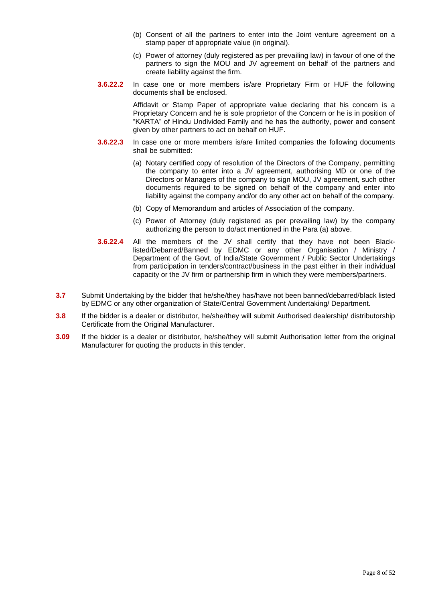- (b) Consent of all the partners to enter into the Joint venture agreement on a stamp paper of appropriate value (in original).
- (c) Power of attorney (duly registered as per prevailing law) in favour of one of the partners to sign the MOU and JV agreement on behalf of the partners and create liability against the firm.
- **3.6.22.2** In case one or more members is/are Proprietary Firm or HUF the following documents shall be enclosed.

Affidavit or Stamp Paper of appropriate value declaring that his concern is a Proprietary Concern and he is sole proprietor of the Concern or he is in position of "KARTA" of Hindu Undivided Family and he has the authority, power and consent given by other partners to act on behalf on HUF.

- **3.6.22.3** In case one or more members is/are limited companies the following documents shall be submitted:
	- (a) Notary certified copy of resolution of the Directors of the Company, permitting the company to enter into a JV agreement, authorising MD or one of the Directors or Managers of the company to sign MOU, JV agreement, such other documents required to be signed on behalf of the company and enter into liability against the company and/or do any other act on behalf of the company.
	- (b) Copy of Memorandum and articles of Association of the company.
	- (c) Power of Attorney (duly registered as per prevailing law) by the company authorizing the person to do/act mentioned in the Para (a) above.
- **3.6.22.4** All the members of the JV shall certify that they have not been Blacklisted/Debarred/Banned by EDMC or any other Organisation / Ministry / Department of the Govt. of India/State Government / Public Sector Undertakings from participation in tenders/contract/business in the past either in their individual capacity or the JV firm or partnership firm in which they were members/partners.
- **3.7** Submit Undertaking by the bidder that he/she/they has/have not been banned/debarred/black listed by EDMC or any other organization of State/Central Government /undertaking/ Department.
- **3.8** If the bidder is a dealer or distributor, he/she/they will submit Authorised dealership/ distributorship Certificate from the Original Manufacturer.
- **3.09** If the bidder is a dealer or distributor, he/she/they will submit Authorisation letter from the original Manufacturer for quoting the products in this tender.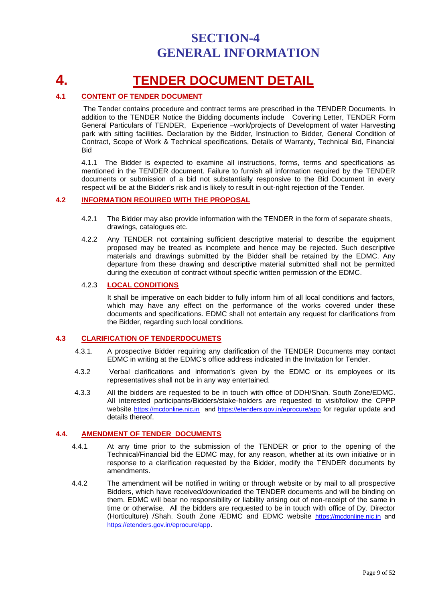# **SECTION-4 GENERAL INFORMATION**

# **4. TENDER DOCUMENT DETAIL**

#### **4.1 CONTENT OF TENDER DOCUMENT**

The Tender contains procedure and contract terms are prescribed in the TENDER Documents. In addition to the TENDER Notice the Bidding documents include Covering Letter, TENDER Form General Particulars of TENDER, Experience –work/projects of Development of water Harvesting park with sitting facilities. Declaration by the Bidder, Instruction to Bidder, General Condition of Contract, Scope of Work & Technical specifications, Details of Warranty, Technical Bid, Financial Bid

4.1.1 The Bidder is expected to examine all instructions, forms, terms and specifications as mentioned in the TENDER document. Failure to furnish all information required by the TENDER documents or submission of a bid not substantially responsive to the Bid Document in every respect will be at the Bidder's risk and is likely to result in out-right rejection of the Tender.

#### **4.2 INFORMATION REOUIRED WITH THE PROPOSAL**

- 4.2.1 The Bidder may also provide information with the TENDER in the form of separate sheets, drawings, catalogues etc.
- 4.2.2 Any TENDER not containing sufficient descriptive material to describe the equipment proposed may be treated as incomplete and hence may be rejected. Such descriptive materials and drawings submitted by the Bidder shall be retained by the EDMC. Any departure from these drawing and descriptive material submitted shall not be permitted during the execution of contract without specific written permission of the EDMC.

#### 4.2.3 **LOCAL CONDITIONS**

It shall be imperative on each bidder to fully inform him of all local conditions and factors, which may have any effect on the performance of the works covered under these documents and specifications. EDMC shall not entertain any request for clarifications from the Bidder, regarding such local conditions.

#### **4.3 CLARIFICATION OF TENDERDOCUMETS**

- 4.3.1. A prospective Bidder requiring any clarification of the TENDER Documents may contact EDMC in writing at the EDMC's office address indicated in the Invitation for Tender.
- 4.3.2 Verbal clarifications and information's given by the EDMC or its employees or its representatives shall not be in any way entertained.
- 4.3.3 All the bidders are requested to be in touch with office of DDH/Shah. South Zone/EDMC. All interested participants/Bidders/stake-holders are requested to visit/follow the CPPP website [https://mcdonline.nic.in](https://mcdonline.nic.in/) and<https://etenders.gov.in/eprocure/app> for regular update and details thereof.

#### **4.4. AMENDMENT OF TENDER DOCUMENTS**

- 4.4.1 At any time prior to the submission of the TENDER or prior to the opening of the Technical/Financial bid the EDMC may, for any reason, whether at its own initiative or in response to a clarification requested by the Bidder, modify the TENDER documents by amendments.
- 4.4.2 The amendment will be notified in writing or through website or by mail to all prospective Bidders, which have received/downloaded the TENDER documents and will be binding on them. EDMC will bear no responsibility or liability arising out of non-receipt of the same in time or otherwise. All the bidders are requested to be in touch with office of Dy. Director (Horticulture) /Shah. South Zone /EDMC and EDMC website [https://mcdonline.nic.in](https://mcdonline.nic.in/) and <https://etenders.gov.in/eprocure/app>.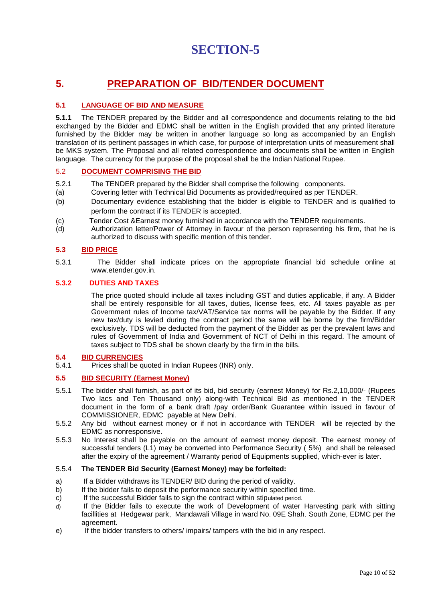# **5. PREPARATION OF BID/TENDER DOCUMENT**

#### **5.1 LANGUAGE OF BID AND MEASURE**

**5.1.1** The TENDER prepared by the Bidder and all correspondence and documents relating to the bid exchanged by the Bidder and EDMC shall be written in the English provided that any printed literature furnished by the Bidder may be written in another language so long as accompanied by an English translation of its pertinent passages in which case, for purpose of interpretation units of measurement shall be MKS system. The Proposal and all related correspondence and documents shall be written in English language. The currency for the purpose of the proposal shall be the Indian National Rupee.

#### 5.2 **DOCUMENT COMPRISING THE BID**

- 5.2.1 The TENDER prepared by the Bidder shall comprise the following components.
- (a) Covering letter with Technical Bid Documents as provided/required as per TENDER.
- (b) Documentary evidence establishing that the bidder is eligible to TENDER and is qualified to perform the contract if its TENDER is accepted.
- (c) Tender Cost &Earnest money furnished in accordance with the TENDER requirements.
- (d) Authorization letter/Power of Attorney in favour of the person representing his firm, that he is authorized to discuss with specific mention of this tender.

#### **5.3 BID PRICE**

5.3.1 The Bidder shall indicate prices on the appropriate financial bid schedule online at www.etender.gov.in.

#### **5.3.2 DUTIES AND TAXES**

The price quoted should include all taxes including GST and duties applicable, if any. A Bidder shall be entirely responsible for all taxes, duties, license fees, etc. All taxes payable as per Government rules of Income tax/VAT/Service tax norms will be payable by the Bidder. If any new tax/duty is levied during the contract period the same will be borne by the firm/Bidder exclusively. TDS will be deducted from the payment of the Bidder as per the prevalent laws and rules of Government of India and Government of NCT of Delhi in this regard. The amount of taxes subject to TDS shall be shown clearly by the firm in the bills.

#### **5.4 BID CURRENCIES**

5.4.1 Prices shall be quoted in Indian Rupees (INR) only.

#### **5.5 BID SECURITY (Earnest Money)**

- 5.5.1 The bidder shall furnish, as part of its bid, bid security (earnest Money) for Rs.2,10,000/- (Rupees Two lacs and Ten Thousand only) along-with Technical Bid as mentioned in the TENDER document in the form of a bank draft /pay order/Bank Guarantee within issued in favour of COMMISSIONER, EDMC payable at New Delhi.
- 5.5.2 Any bid without earnest money or if not in accordance with TENDER will be rejected by the EDMC as nonresponsive.
- 5.5.3 No Interest shall be payable on the amount of earnest money deposit. The earnest money of successful tenders (L1) may be converted into Performance Security ( 5%) and shall be released after the expiry of the agreement / Warranty period of Equipments supplied, which-ever is later.

#### 5.5.4 **The TENDER Bid Security (Earnest Money) may be forfeited:**

- a) If a Bidder withdraws its TENDER/ BID during the period of validity.
- b) If the bidder fails to deposit the performance security within specified time.
- c) If the successful Bidder fails to sign the contract within stipulated period.
- d) If the Bidder fails to execute the work of Development of water Harvesting park with sitting facillities at Hedgewar park, Mandawali Village in ward No. 09E Shah. South Zone, EDMC per the agreement.
- e) If the bidder transfers to others/ impairs/ tampers with the bid in any respect.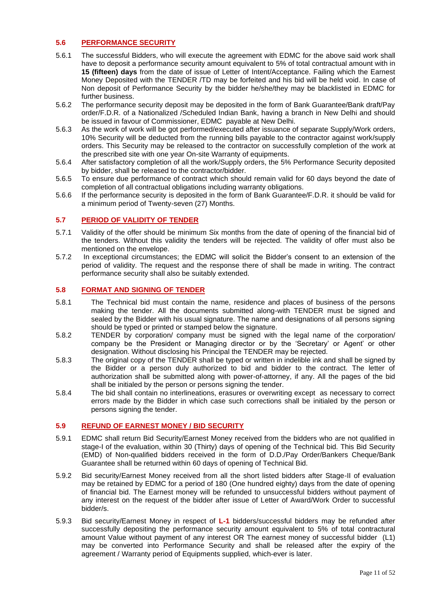#### **5.6 PERFORMANCE SECURITY**

- 5.6.1 The successful Bidders, who will execute the agreement with EDMC for the above said work shall have to deposit a performance security amount equivalent to 5% of total contractual amount with in **15 (fifteen) days** from the date of issue of Letter of Intent/Acceptance. Failing which the Earnest Money Deposited with the TENDER /TD may be forfeited and his bid will be held void. In case of Non deposit of Performance Security by the bidder he/she/they may be blacklisted in EDMC for further business.
- 5.6.2 The performance security deposit may be deposited in the form of Bank Guarantee/Bank draft/Pay order/F.D.R. of a Nationalized /Scheduled Indian Bank, having a branch in New Delhi and should be issued in favour of Commissioner, EDMC payable at New Delhi.
- 5.6.3 As the work of work will be got performed/executed after issuance of separate Supply/Work orders, 10% Security will be deducted from the running bills payable to the contractor against work/supply orders. This Security may be released to the contractor on successfully completion of the work at the prescribed site with one year On-site Warranty of equipments.
- 5.6.4 After satisfactory completion of all the work/Supply orders, the 5% Performance Security deposited by bidder, shall be released to the contractor/bidder.
- 5.6.5 To ensure due performance of contract which should remain valid for 60 days beyond the date of completion of all contractual obligations including warranty obligations.
- 5.6.6 If the performance security is deposited in the form of Bank Guarantee/F.D.R. it should be valid for a minimum period of Twenty-seven (27) Months.

#### **5.7 PERIOD OF VALIDITY OF TENDER**

- 5.7.1 Validity of the offer should be minimum Six months from the date of opening of the financial bid of the tenders. Without this validity the tenders will be rejected. The validity of offer must also be mentioned on the envelope.
- 5.7.2 In exceptional circumstances; the EDMC will solicit the Bidder's consent to an extension of the period of validity. The request and the response there of shall be made in writing. The contract performance security shall also be suitably extended.

#### **5.8 FORMAT AND SIGNING OF TENDER**

- 5.8.1 The Technical bid must contain the name, residence and places of business of the persons making the tender. All the documents submitted along-with TENDER must be signed and sealed by the Bidder with his usual signature. The name and designations of all persons signing should be typed or printed or stamped below the signature.
- 5.8.2 TENDER by corporation/ company must be signed with the legal name of the corporation/ company be the President or Managing director or by the 'Secretary' or Agent' or other designation. Without disclosing his Principal the TENDER may be rejected.
- 5.8.3 The original copy of the TENDER shall be typed or written in indelible ink and shall be signed by the Bidder or a person duly authorized to bid and bidder to the contract. The letter of authorization shall be submitted along with power-of-attorney, if any. All the pages of the bid shall be initialed by the person or persons signing the tender.
- 5.8.4 The bid shall contain no interlineations, erasures or overwriting except as necessary to correct errors made by the Bidder in which case such corrections shall be initialed by the person or persons signing the tender.

#### **5.9 REFUND OF EARNEST MONEY / BID SECURITY**

- 5.9.1 EDMC shall return Bid Security/Earnest Money received from the bidders who are not qualified in stage-I of the evaluation, within 30 (Thirty) days of opening of the Technical bid. This Bid Security (EMD) of Non-qualified bidders received in the form of D.D./Pay Order/Bankers Cheque/Bank Guarantee shall be returned within 60 days of opening of Technical Bid.
- 5.9.2 Bid security/Earnest Money received from all the short listed bidders after Stage-II of evaluation may be retained by EDMC for a period of 180 (One hundred eighty) days from the date of opening of financial bid. The Earnest money will be refunded to unsuccessful bidders without payment of any interest on the request of the bidder after issue of Letter of Award/Work Order to successful bidder/s.
- 5.9.3 Bid security/Earnest Money in respect of **L-1** bidders/successful bidders may be refunded after successfully depositing the performance security amount equivalent to 5% of total contractural amount Value without payment of any interest OR The earnest money of successful bidder (L1) may be converted into Performance Security and shall be released after the expiry of the agreement / Warranty period of Equipments supplied, which-ever is later.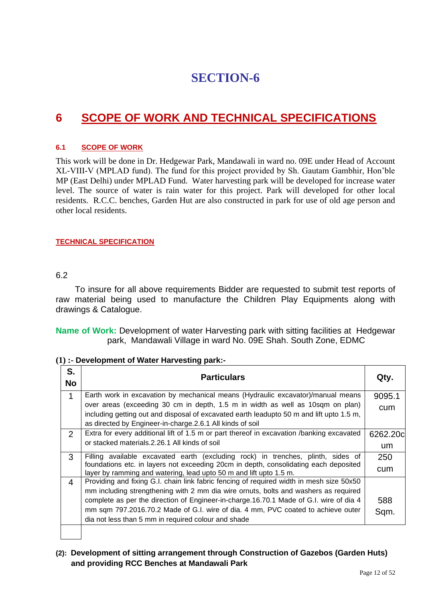# **6 SCOPE OF WORK AND TECHNICAL SPECIFICATIONS**

#### **6.1 SCOPE OF WORK**

This work will be done in Dr. Hedgewar Park, Mandawali in ward no. 09E under Head of Account XL-VIII-V (MPLAD fund). The fund for this project provided by Sh. Gautam Gambhir, Hon'ble MP (East Delhi) under MPLAD Fund. Water harvesting park will be developed for increase water level. The source of water is rain water for this project. Park will developed for other local residents. R.C.C. benches, Garden Hut are also constructed in park for use of old age person and other local residents.

#### **TECHNICAL SPECIFICATION**

#### 6.2

To insure for all above requirements Bidder are requested to submit test reports of raw material being used to manufacture the Children Play Equipments along with drawings & Catalogue.

**Name of Work:** Development of water Harvesting park with sitting facilities at Hedgewar park, Mandawali Village in ward No. 09E Shah. South Zone, EDMC

| S.<br><b>No</b> | <b>Particulars</b>                                                                                                                                                                                                                                                                                                                                                                                                   | Qty.            |
|-----------------|----------------------------------------------------------------------------------------------------------------------------------------------------------------------------------------------------------------------------------------------------------------------------------------------------------------------------------------------------------------------------------------------------------------------|-----------------|
| 1               | Earth work in excavation by mechanical means (Hydraulic excavator)/manual means<br>over areas (exceeding 30 cm in depth, 1.5 m in width as well as 10sqm on plan)<br>including getting out and disposal of excavated earth leadupto 50 m and lift upto 1.5 m,<br>as directed by Engineer-in-charge. 2.6.1 All kinds of soil                                                                                          | 9095.1<br>cum   |
| 2               | Extra for every additional lift of 1.5 m or part thereof in excavation /banking excavated<br>or stacked materials 2.26.1 All kinds of soil                                                                                                                                                                                                                                                                           | 6262.20c<br>um. |
| 3               | Filling available excavated earth (excluding rock) in trenches, plinth, sides of<br>foundations etc. in layers not exceeding 20cm in depth, consolidating each deposited<br>layer by ramming and watering, lead upto 50 m and lift upto 1.5 m.                                                                                                                                                                       | 250<br>cum      |
| 4               | Providing and fixing G.I. chain link fabric fencing of required width in mesh size 50x50<br>mm including strengthening with 2 mm dia wire ornuts, bolts and washers as required<br>complete as per the direction of Engineer-in-charge.16.70.1 Made of G.I. wire of dia 4<br>mm sqm 797.2016.70.2 Made of G.I. wire of dia. 4 mm, PVC coated to achieve outer<br>dia not less than 5 mm in required colour and shade | 588<br>Sqm.     |

**(1) :- Development of Water Harvesting park:-**

### **(2): Development of sitting arrangement through Construction of Gazebos (Garden Huts) and providing RCC Benches at Mandawali Park**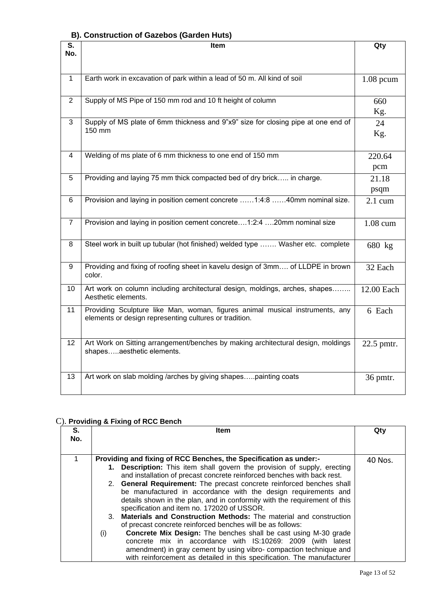#### **B). Construction of Gazebos (Garden Huts)**

| S.<br>No.       | Item                                                                                                                                   |                   |
|-----------------|----------------------------------------------------------------------------------------------------------------------------------------|-------------------|
|                 |                                                                                                                                        |                   |
| $\mathbf{1}$    | Earth work in excavation of park within a lead of 50 m. All kind of soil                                                               | $1.08$ pcum       |
| $\overline{2}$  | Supply of MS Pipe of 150 mm rod and 10 ft height of column                                                                             | 660<br>Kg.        |
| 3               | Supply of MS plate of 6mm thickness and 9"x9" size for closing pipe at one end of<br>150 mm                                            | 24<br>Kg.         |
| $\overline{4}$  | Welding of ms plate of 6 mm thickness to one end of 150 mm                                                                             | 220.64<br>pcm     |
| 5               | Providing and laying 75 mm thick compacted bed of dry brick in charge.                                                                 | 21.18<br>psqm     |
| 6               | Provision and laying in position cement concrete 1:4:8 40mm nominal size.                                                              | $2.1 \text{ cum}$ |
| $\overline{7}$  | Provision and laying in position cement concrete1:2:4 20mm nominal size                                                                | 1.08 cum          |
| 8               | Steel work in built up tubular (hot finished) welded type  Washer etc. complete                                                        | 680 kg            |
| 9               | Providing and fixing of roofing sheet in kavelu design of 3mm of LLDPE in brown<br>color.                                              | 32 Each           |
| 10              | Art work on column including architectural design, moldings, arches, shapes<br>Aesthetic elements.                                     | 12.00 Each        |
| 11              | Providing Sculpture like Man, woman, figures animal musical instruments, any<br>elements or design representing cultures or tradition. | 6 Each            |
| 12 <sup>2</sup> | Art Work on Sitting arrangement/benches by making architectural design, moldings<br>shapesaesthetic elements.                          | 22.5 pmtr.        |
| 13              | Art work on slab molding /arches by giving shapespainting coats                                                                        | 36 pmtr.          |

# C). **Providing & Fixing of RCC Bench**

| S.<br>No. | Item                                                                                                                                                                                                                                                                                                                                                                                                                                                                                                                                                                                                                                                                                                                                                                                                                                                                                                                                  | Qty     |
|-----------|---------------------------------------------------------------------------------------------------------------------------------------------------------------------------------------------------------------------------------------------------------------------------------------------------------------------------------------------------------------------------------------------------------------------------------------------------------------------------------------------------------------------------------------------------------------------------------------------------------------------------------------------------------------------------------------------------------------------------------------------------------------------------------------------------------------------------------------------------------------------------------------------------------------------------------------|---------|
|           | Providing and fixing of RCC Benches, the Specification as under:-<br>1. Description: This item shall govern the provision of supply, erecting<br>and installation of precast concrete reinforced benches with back rest.<br>2. General Requirement: The precast concrete reinforced benches shall<br>be manufactured in accordance with the design requirements and<br>details shown in the plan, and in conformity with the requirement of this<br>specification and item no. 172020 of USSOR.<br>3. Materials and Construction Methods: The material and construction<br>of precast concrete reinforced benches will be as follows:<br>(i)<br><b>Concrete Mix Design:</b> The benches shall be cast using M-30 grade<br>concrete mix in accordance with IS:10269: 2009 (with latest<br>amendment) in gray cement by using vibro- compaction technique and<br>with reinforcement as detailed in this specification. The manufacturer | 40 Nos. |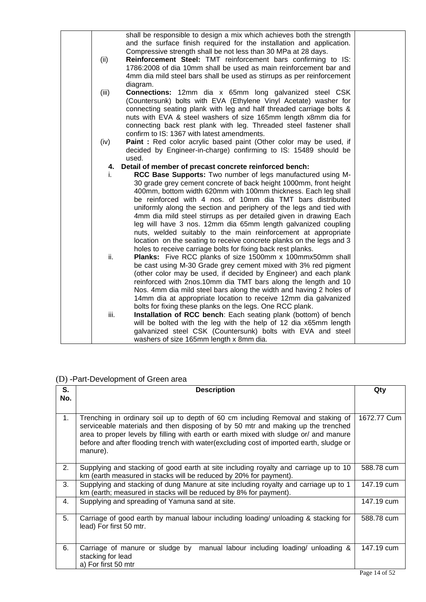|       | shall be responsible to design a mix which achieves both the strength<br>and the surface finish required for the installation and application.<br>Compressive strength shall be not less than 30 MPa at 28 days.                                                                                                                                                                                  |  |
|-------|---------------------------------------------------------------------------------------------------------------------------------------------------------------------------------------------------------------------------------------------------------------------------------------------------------------------------------------------------------------------------------------------------|--|
| (ii)  | Reinforcement Steel: TMT reinforcement bars confirming to IS:<br>1786:2008 of dia 10mm shall be used as main reinforcement bar and<br>4mm dia mild steel bars shall be used as stirrups as per reinforcement<br>diagram.                                                                                                                                                                          |  |
| (iii) | <b>Connections:</b> 12mm dia x 65mm long galvanized steel CSK<br>(Countersunk) bolts with EVA (Ethylene Vinyl Acetate) washer for<br>connecting seating plank with leg and half threaded carriage bolts &<br>nuts with EVA & steel washers of size 165mm length x8mm dia for<br>connecting back rest plank with leg. Threaded steel fastener shall<br>confirm to IS: 1367 with latest amendments. |  |
| (iv)  | Paint: Red color acrylic based paint (Other color may be used, if<br>decided by Engineer-in-charge) confirming to IS: 15489 should be<br>used.                                                                                                                                                                                                                                                    |  |
| 4.    | Detail of member of precast concrete reinforced bench:                                                                                                                                                                                                                                                                                                                                            |  |
| İ.    | RCC Base Supports: Two number of legs manufactured using M-                                                                                                                                                                                                                                                                                                                                       |  |
|       | 30 grade grey cement concrete of back height 1000mm, front height                                                                                                                                                                                                                                                                                                                                 |  |
|       | 400mm, bottom width 620mm with 100mm thickness. Each leg shall                                                                                                                                                                                                                                                                                                                                    |  |
|       | be reinforced with 4 nos. of 10mm dia TMT bars distributed                                                                                                                                                                                                                                                                                                                                        |  |
|       | uniformly along the section and periphery of the legs and tied with                                                                                                                                                                                                                                                                                                                               |  |
|       | 4mm dia mild steel stirrups as per detailed given in drawing Each                                                                                                                                                                                                                                                                                                                                 |  |
|       | leg will have 3 nos. 12mm dia 65mm length galvanized coupling                                                                                                                                                                                                                                                                                                                                     |  |
|       | nuts, welded suitably to the main reinforcement at appropriate                                                                                                                                                                                                                                                                                                                                    |  |
|       | location on the seating to receive concrete planks on the legs and 3                                                                                                                                                                                                                                                                                                                              |  |
|       | holes to receive carriage bolts for fixing back rest planks.                                                                                                                                                                                                                                                                                                                                      |  |
| ii.   | Planks: Five RCC planks of size 1500mm x 100mmx50mm shall                                                                                                                                                                                                                                                                                                                                         |  |
|       | be cast using M-30 Grade grey cement mixed with 3% red pigment                                                                                                                                                                                                                                                                                                                                    |  |
|       | (other color may be used, if decided by Engineer) and each plank                                                                                                                                                                                                                                                                                                                                  |  |
|       | reinforced with 2nos.10mm dia TMT bars along the length and 10                                                                                                                                                                                                                                                                                                                                    |  |
|       | Nos. 4mm dia mild steel bars along the width and having 2 holes of                                                                                                                                                                                                                                                                                                                                |  |
|       | 14mm dia at appropriate location to receive 12mm dia galvanized<br>bolts for fixing these planks on the legs. One RCC plank.                                                                                                                                                                                                                                                                      |  |
| iii.  | Installation of RCC bench: Each seating plank (bottom) of bench                                                                                                                                                                                                                                                                                                                                   |  |
|       | will be bolted with the leg with the help of 12 dia x65mm length                                                                                                                                                                                                                                                                                                                                  |  |
|       | galvanized steel CSK (Countersunk) bolts with EVA and steel                                                                                                                                                                                                                                                                                                                                       |  |
|       | washers of size 165mm length x 8mm dia.                                                                                                                                                                                                                                                                                                                                                           |  |
|       |                                                                                                                                                                                                                                                                                                                                                                                                   |  |

## (D) -Part-Development of Green area

| S.             | <b>Description</b>                                                                                                                                                                                                                                                                                                                                                   | Qty         |
|----------------|----------------------------------------------------------------------------------------------------------------------------------------------------------------------------------------------------------------------------------------------------------------------------------------------------------------------------------------------------------------------|-------------|
| No.            |                                                                                                                                                                                                                                                                                                                                                                      |             |
| 1 <sub>1</sub> | Trenching in ordinary soil up to depth of 60 cm including Removal and staking of<br>serviceable materials and then disposing of by 50 mtr and making up the trenched<br>area to proper levels by filling with earth or earth mixed with sludge or/ and manure<br>before and after flooding trench with water(excluding cost of imported earth, sludge or<br>manure). | 1672.77 Cum |
| 2.             | Supplying and stacking of good earth at site including royalty and carriage up to 10<br>km (earth measured in stacks will be reduced by 20% for payment).                                                                                                                                                                                                            | 588.78 cum  |
| 3.             | Supplying and stacking of dung Manure at site including royalty and carriage up to 1<br>km (earth; measured in stacks will be reduced by 8% for payment).                                                                                                                                                                                                            | 147.19 cum  |
| 4.             | Supplying and spreading of Yamuna sand at site.                                                                                                                                                                                                                                                                                                                      | 147.19 cum  |
| 5.             | Carriage of good earth by manual labour including loading/ unloading & stacking for<br>lead) For first 50 mtr.                                                                                                                                                                                                                                                       | 588.78 cum  |
| 6.             | Carriage of manure or sludge by<br>manual labour including loading/ unloading &<br>stacking for lead<br>a) For first 50 mtr                                                                                                                                                                                                                                          | 147.19 cum  |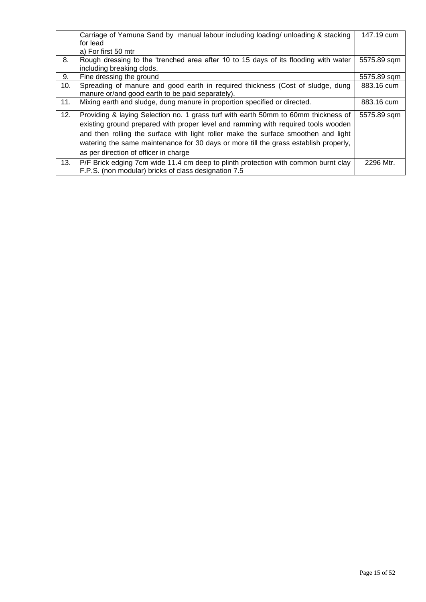|     | Carriage of Yamuna Sand by manual labour including loading/ unloading & stacking     | 147.19 cum  |
|-----|--------------------------------------------------------------------------------------|-------------|
|     | for lead                                                                             |             |
|     | a) For first 50 mtr                                                                  |             |
| 8.  | Rough dressing to the 'trenched area after 10 to 15 days of its flooding with water  | 5575.89 sqm |
|     | including breaking clods.                                                            |             |
| 9.  | Fine dressing the ground                                                             | 5575.89 sqm |
| 10. | Spreading of manure and good earth in required thickness (Cost of sludge, dung       | 883.16 cum  |
|     | manure or/and good earth to be paid separately).                                     |             |
| 11. | Mixing earth and sludge, dung manure in proportion specified or directed.            | 883.16 cum  |
|     |                                                                                      |             |
| 12. | Providing & laying Selection no. 1 grass turf with earth 50mm to 60mm thickness of   | 5575.89 sqm |
|     | existing ground prepared with proper level and ramming with required tools wooden    |             |
|     | and then rolling the surface with light roller make the surface smoothen and light   |             |
|     | watering the same maintenance for 30 days or more till the grass establish properly, |             |
|     | as per direction of officer in charge                                                |             |
|     |                                                                                      |             |
| 13. | P/F Brick edging 7cm wide 11.4 cm deep to plinth protection with common burnt clay   | 2296 Mtr.   |
|     | F.P.S. (non modular) bricks of class designation 7.5                                 |             |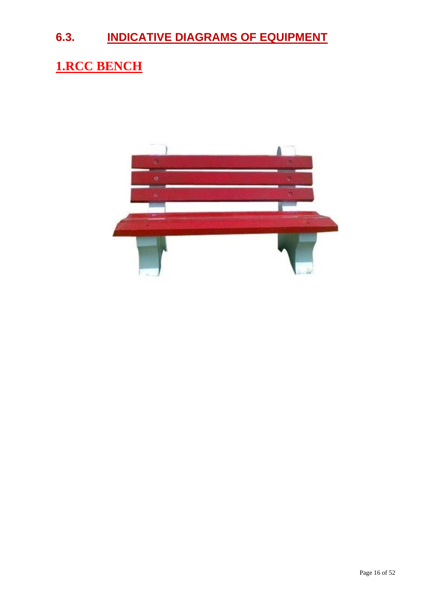# **6.3. INDICATIVE DIAGRAMS OF EQUIPMENT**

# **1.RCC BENCH**

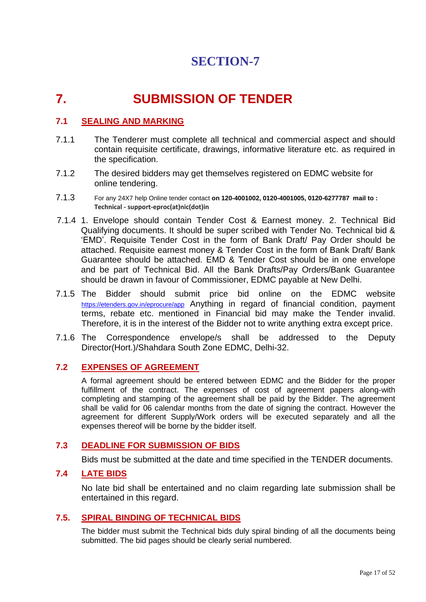# **7. SUBMISSION OF TENDER**

## **7.1 SEALING AND MARKING**

- 7.1.1 The Tenderer must complete all technical and commercial aspect and should contain requisite certificate, drawings, informative literature etc. as required in the specification.
- 7.1.2 The desired bidders may get themselves registered on EDMC website for online tendering.
- 7.1.3 For any 24X7 help Online tender contact **on 120-4001002, 0120-4001005, 0120-6277787 mail to : Technical - support-eproc(at)nic(dot)in**
- 7.1.4 1. Envelope should contain Tender Cost & Earnest money. 2. Technical Bid Qualifying documents. It should be super scribed with Tender No. Technical bid & 'EMD'. Requisite Tender Cost in the form of Bank Draft/ Pay Order should be attached. Requisite earnest money & Tender Cost in the form of Bank Draft/ Bank Guarantee should be attached. EMD & Tender Cost should be in one envelope and be part of Technical Bid. All the Bank Drafts/Pay Orders/Bank Guarantee should be drawn in favour of Commissioner, EDMC payable at New Delhi.
- 7.1.5 The Bidder should submit price bid online on the EDMC website <https://etenders.gov.in/eprocure/app> Anything in regard of financial condition, payment terms, rebate etc. mentioned in Financial bid may make the Tender invalid. Therefore, it is in the interest of the Bidder not to write anything extra except price.
- 7.1.6 The Correspondence envelope/s shall be addressed to the Deputy Director(Hort.)/Shahdara South Zone EDMC, Delhi-32.

### **7.2 EXPENSES OF AGREEMENT**

A formal agreement should be entered between EDMC and the Bidder for the proper fulfillment of the contract. The expenses of cost of agreement papers along-with completing and stamping of the agreement shall be paid by the Bidder. The agreement shall be valid for 06 calendar months from the date of signing the contract. However the agreement for different Supply/Work orders will be executed separately and all the expenses thereof will be borne by the bidder itself.

## **7.3 DEADLINE FOR SUBMISSION OF BIDS**

Bids must be submitted at the date and time specified in the TENDER documents.

#### **7.4 LATE BIDS**

No late bid shall be entertained and no claim regarding late submission shall be entertained in this regard.

### **7.5. SPIRAL BINDING OF TECHNICAL BIDS**

The bidder must submit the Technical bids duly spiral binding of all the documents being submitted. The bid pages should be clearly serial numbered.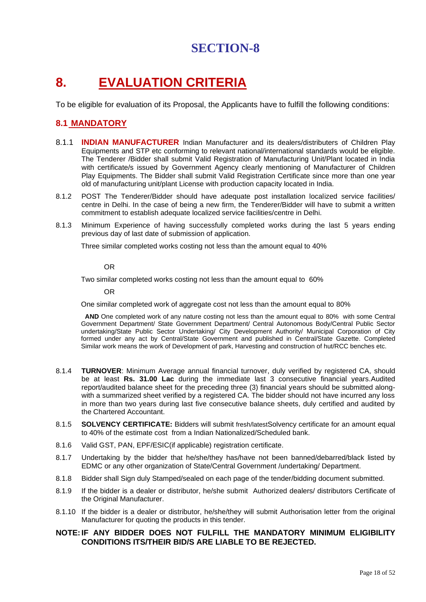# **8. EVALUATION CRITERIA**

To be eligible for evaluation of its Proposal, the Applicants have to fulfill the following conditions:

## **8.1 MANDATORY**

- 8.1.1 **INDIAN MANUFACTURER** Indian Manufacturer and its dealers/distributers of Children Play Equipments and STP etc conforming to relevant national/international standards would be eligible. The Tenderer /Bidder shall submit Valid Registration of Manufacturing Unit/Plant located in India with certificate/s issued by Government Agency clearly mentioning of Manufacturer of Children Play Equipments. The Bidder shall submit Valid Registration Certificate since more than one year old of manufacturing unit/plant License with production capacity located in India.
- 8.1.2 POST The Tenderer/Bidder should have adequate post installation localized service facilities/ centre in Delhi. In the case of being a new firm, the Tenderer/Bidder will have to submit a written commitment to establish adequate localized service facilities/centre in Delhi.
- 8.1.3 Minimum Experience of having successfully completed works during the last 5 years ending previous day of last date of submission of application.

Three similar completed works costing not less than the amount equal to 40%

#### OR

Two similar completed works costing not less than the amount equal to 60%

OR

One similar completed work of aggregate cost not less than the amount equal to 80%

 **AND** One completed work of any nature costing not less than the amount equal to 80% with some Central Government Department/ State Government Department/ Central Autonomous Body/Central Public Sector undertaking/State Public Sector Undertaking/ City Development Authority/ Municipal Corporation of City formed under any act by Central/State Government and published in Central/State Gazette. Completed Similar work means the work of Development of park, Harvesting and construction of hut/RCC benches etc.

- 8.1.4 **TURNOVER**: Minimum Average annual financial turnover, duly verified by registered CA, should be at least **Rs. 31.00 Lac** during the immediate last 3 consecutive financial years.Audited report/audited balance sheet for the preceding three (3) financial years should be submitted alongwith a summarized sheet verified by a registered CA. The bidder should not have incurred any loss in more than two years during last five consecutive balance sheets, duly certified and audited by the Chartered Accountant.
- 8.1.5 **SOLVENCY CERTIFICATE:** Bidders will submit fresh/latestSolvency certificate for an amount equal to 40% of the estimate cost from a Indian Nationalized/Scheduled bank.
- 8.1.6 Valid GST, PAN, EPF/ESIC(if applicable) registration certificate.
- 8.1.7 Undertaking by the bidder that he/she/they has/have not been banned/debarred/black listed by EDMC or any other organization of State/Central Government /undertaking/ Department.
- 8.1.8 Bidder shall Sign duly Stamped/sealed on each page of the tender/bidding document submitted.
- 8.1.9 If the bidder is a dealer or distributor, he/she submit Authorized dealers/ distributors Certificate of the Original Manufacturer.
- 8.1.10 If the bidder is a dealer or distributor, he/she/they will submit Authorisation letter from the original Manufacturer for quoting the products in this tender.

#### **NOTE:IF ANY BIDDER DOES NOT FULFILL THE MANDATORY MINIMUM ELIGIBILITY CONDITIONS ITS/THEIR BID/S ARE LIABLE TO BE REJECTED.**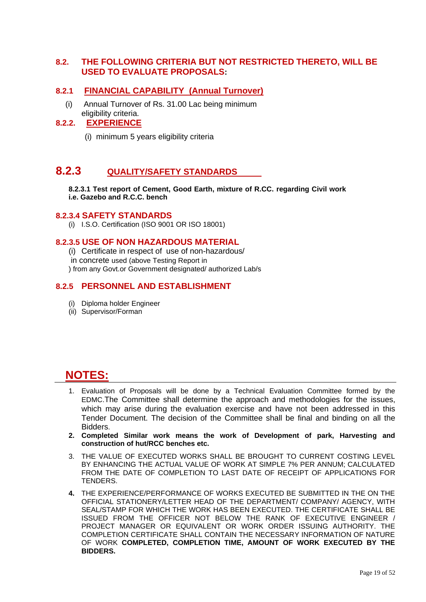### **8.2. THE FOLLOWING CRITERIA BUT NOT RESTRICTED THERETO, WILL BE USED TO EVALUATE PROPOSALS:**

#### **8.2.1 FINANCIAL CAPABILITY (Annual Turnover)**

(i) Annual Turnover of Rs. 31.00 Lac being minimum eligibility criteria.

### **8.2.2. EXPERIENCE**

(i) minimum 5 years eligibility criteria

# **8.2.3 QUALITY/SAFETY STANDARDS**

**8.2.3.1 Test report of Cement, Good Earth, mixture of R.CC. regarding Civil work i.e. Gazebo and R.C.C. bench**

#### **8.2.3.4 SAFETY STANDARDS**

(i) I.S.O. Certification (ISO 9001 OR ISO 18001)

#### **8.2.3.5 USE OF NON HAZARDOUS MATERIAL**

- (i) Certificate in respect of use of non-hazardous/
- in concrete used (above Testing Report in
- ) from any Govt.or Government designated/ authorized Lab/s

#### **8.2.5 PERSONNEL AND ESTABLISHMENT**

- (i) Diploma holder Engineer
- (ii) Supervisor/Forman

# **NOTES:**

- 1. Evaluation of Proposals will be done by a Technical Evaluation Committee formed by the EDMC.The Committee shall determine the approach and methodologies for the issues, which may arise during the evaluation exercise and have not been addressed in this Tender Document. The decision of the Committee shall be final and binding on all the Bidders.
- **2. Completed Similar work means the work of Development of park, Harvesting and construction of hut/RCC benches etc.**
- 3. THE VALUE OF EXECUTED WORKS SHALL BE BROUGHT TO CURRENT COSTING LEVEL BY ENHANCING THE ACTUAL VALUE OF WORK AT SIMPLE 7% PER ANNUM; CALCULATED FROM THE DATE OF COMPLETION TO LAST DATE OF RECEIPT OF APPLICATIONS FOR TENDERS.
- **4.** THE EXPERIENCE/PERFORMANCE OF WORKS EXECUTED BE SUBMITTED IN THE ON THE OFFICIAL STATIONERY/LETTER HEAD OF THE DEPARTMENT/ COMPANY/ AGENCY, WITH SEAL/STAMP FOR WHICH THE WORK HAS BEEN EXECUTED. THE CERTIFICATE SHALL BE ISSUED FROM THE OFFICER NOT BELOW THE RANK OF EXECUTIVE ENGINEER / PROJECT MANAGER OR EQUIVALENT OR WORK ORDER ISSUING AUTHORITY. THE COMPLETION CERTIFICATE SHALL CONTAIN THE NECESSARY INFORMATION OF NATURE OF WORK **COMPLETED, COMPLETION TIME, AMOUNT OF WORK EXECUTED BY THE BIDDERS.**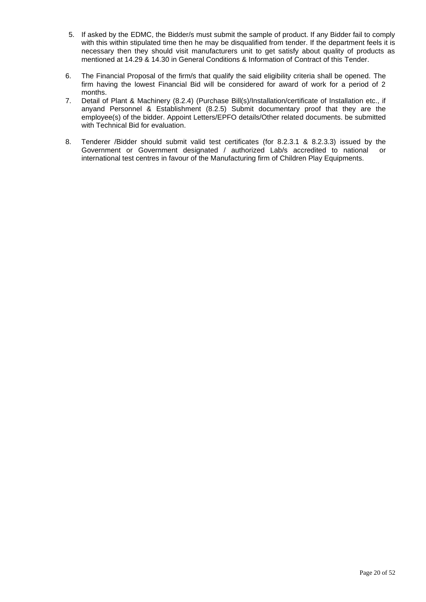- 5. If asked by the EDMC, the Bidder/s must submit the sample of product. If any Bidder fail to comply with this within stipulated time then he may be disqualified from tender. If the department feels it is necessary then they should visit manufacturers unit to get satisfy about quality of products as mentioned at 14.29 & 14.30 in General Conditions & Information of Contract of this Tender.
- 6. The Financial Proposal of the firm/s that qualify the said eligibility criteria shall be opened. The firm having the lowest Financial Bid will be considered for award of work for a period of 2 months.
- 7. Detail of Plant & Machinery (8.2.4) (Purchase Bill(s)/Installation/certificate of Installation etc., if anyand Personnel & Establishment (8.2.5) Submit documentary proof that they are the employee(s) of the bidder. Appoint Letters/EPFO details/Other related documents. be submitted with Technical Bid for evaluation.
- 8. Tenderer /Bidder should submit valid test certificates (for 8.2.3.1 & 8.2.3.3) issued by the Government or Government designated / authorized Lab/s accredited to national or international test centres in favour of the Manufacturing firm of Children Play Equipments.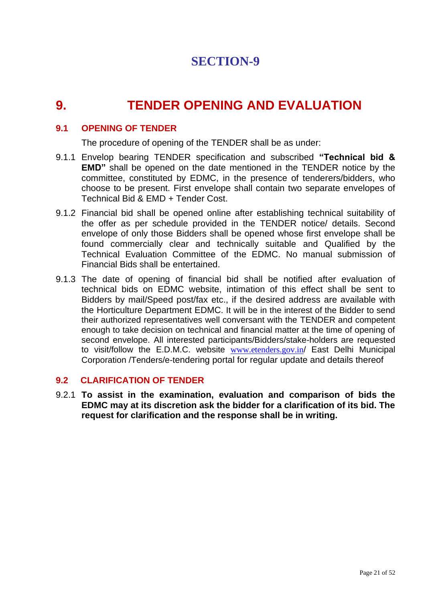# **9. TENDER OPENING AND EVALUATION**

## **9.1 OPENING OF TENDER**

The procedure of opening of the TENDER shall be as under:

- 9.1.1 Envelop bearing TENDER specification and subscribed **"Technical bid & EMD"** shall be opened on the date mentioned in the TENDER notice by the committee, constituted by EDMC, in the presence of tenderers/bidders, who choose to be present. First envelope shall contain two separate envelopes of Technical Bid & EMD + Tender Cost.
- 9.1.2 Financial bid shall be opened online after establishing technical suitability of the offer as per schedule provided in the TENDER notice/ details. Second envelope of only those Bidders shall be opened whose first envelope shall be found commercially clear and technically suitable and Qualified by the Technical Evaluation Committee of the EDMC. No manual submission of Financial Bids shall be entertained.
- 9.1.3 The date of opening of financial bid shall be notified after evaluation of technical bids on EDMC website, intimation of this effect shall be sent to Bidders by mail/Speed post/fax etc., if the desired address are available with the Horticulture Department EDMC. It will be in the interest of the Bidder to send their authorized representatives well conversant with the TENDER and competent enough to take decision on technical and financial matter at the time of opening of second envelope. All interested participants/Bidders/stake-holders are requested to visit/follow the E.D.M.C. website [www.etenders.gov.in](http://www.etenders.gov.in/)/ East Delhi Municipal Corporation /Tenders/e-tendering portal for regular update and details thereof

### **9.2 CLARIFICATION OF TENDER**

9.2.1 **To assist in the examination, evaluation and comparison of bids the EDMC may at its discretion ask the bidder for a clarification of its bid. The request for clarification and the response shall be in writing.**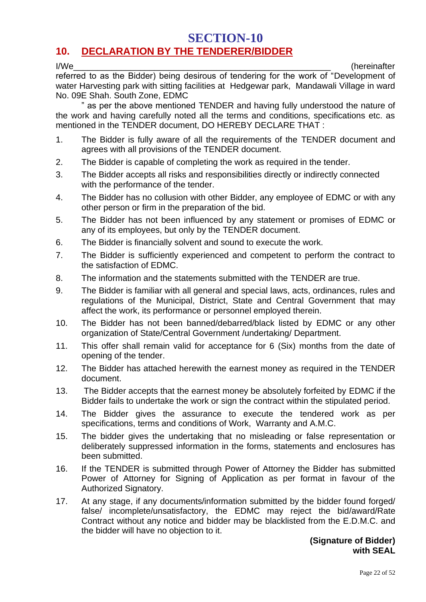# **SECTION-10 10. DECLARATION BY THE TENDERER/BIDDER**

I/We\_\_\_\_\_\_\_\_\_\_\_\_\_\_\_\_\_\_\_\_\_\_\_\_\_\_\_\_\_\_\_\_\_\_\_\_\_\_\_\_\_\_\_\_\_\_\_\_\_\_\_\_\_\_ (hereinafter

referred to as the Bidder) being desirous of tendering for the work of "Development of water Harvesting park with sitting facilities at Hedgewar park, Mandawali Village in ward No. 09E Shah. South Zone, EDMC

" as per the above mentioned TENDER and having fully understood the nature of the work and having carefully noted all the terms and conditions, specifications etc. as mentioned in the TENDER document, DO HEREBY DECLARE THAT :

- 1. The Bidder is fully aware of all the requirements of the TENDER document and agrees with all provisions of the TENDER document.
- 2. The Bidder is capable of completing the work as required in the tender.
- 3. The Bidder accepts all risks and responsibilities directly or indirectly connected with the performance of the tender.
- 4. The Bidder has no collusion with other Bidder, any employee of EDMC or with any other person or firm in the preparation of the bid.
- 5. The Bidder has not been influenced by any statement or promises of EDMC or any of its employees, but only by the TENDER document.
- 6. The Bidder is financially solvent and sound to execute the work.
- 7. The Bidder is sufficiently experienced and competent to perform the contract to the satisfaction of EDMC.
- 8. The information and the statements submitted with the TENDER are true.
- 9. The Bidder is familiar with all general and special laws, acts, ordinances, rules and regulations of the Municipal, District, State and Central Government that may affect the work, its performance or personnel employed therein.
- 10. The Bidder has not been banned/debarred/black listed by EDMC or any other organization of State/Central Government /undertaking/ Department.
- 11. This offer shall remain valid for acceptance for 6 (Six) months from the date of opening of the tender.
- 12. The Bidder has attached herewith the earnest money as required in the TENDER document.
- 13. The Bidder accepts that the earnest money be absolutely forfeited by EDMC if the Bidder fails to undertake the work or sign the contract within the stipulated period.
- 14. The Bidder gives the assurance to execute the tendered work as per specifications, terms and conditions of Work, Warranty and A.M.C.
- 15. The bidder gives the undertaking that no misleading or false representation or deliberately suppressed information in the forms, statements and enclosures has been submitted.
- 16. If the TENDER is submitted through Power of Attorney the Bidder has submitted Power of Attorney for Signing of Application as per format in favour of the Authorized Signatory.
- 17. At any stage, if any documents/information submitted by the bidder found forged/ false/ incomplete/unsatisfactory, the EDMC may reject the bid/award/Rate Contract without any notice and bidder may be blacklisted from the E.D.M.C. and the bidder will have no objection to it.

## **(Signature of Bidder) with SEAL**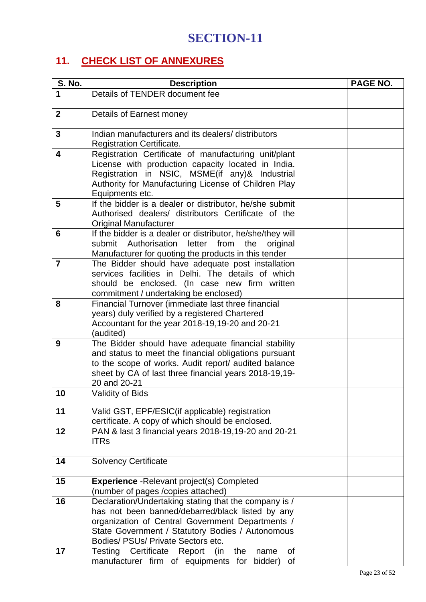# **11. CHECK LIST OF ANNEXURES**

| S. No.                  | <b>Description</b>                                                                                   | PAGE NO. |
|-------------------------|------------------------------------------------------------------------------------------------------|----------|
| 1                       | Details of TENDER document fee                                                                       |          |
|                         |                                                                                                      |          |
| $\mathbf{2}$            | Details of Earnest money                                                                             |          |
| $\mathbf{3}$            | Indian manufacturers and its dealers/ distributors                                                   |          |
|                         | <b>Registration Certificate.</b>                                                                     |          |
| $\overline{\mathbf{4}}$ | Registration Certificate of manufacturing unit/plant                                                 |          |
|                         | License with production capacity located in India.                                                   |          |
|                         | Registration in NSIC, MSME(if any)& Industrial                                                       |          |
|                         | Authority for Manufacturing License of Children Play<br>Equipments etc.                              |          |
| 5                       | If the bidder is a dealer or distributor, he/she submit                                              |          |
|                         | Authorised dealers/ distributors Certificate of the                                                  |          |
|                         | <b>Original Manufacturer</b>                                                                         |          |
| 6                       | If the bidder is a dealer or distributor, he/she/they will                                           |          |
|                         | submit Authorisation<br>letter<br>from<br>the<br>original                                            |          |
|                         | Manufacturer for quoting the products in this tender                                                 |          |
| $\overline{7}$          | The Bidder should have adequate post installation                                                    |          |
|                         | services facilities in Delhi. The details of which                                                   |          |
|                         | should be enclosed. (In case new firm written                                                        |          |
| 8                       | commitment / undertaking be enclosed)<br>Financial Turnover (immediate last three financial          |          |
|                         | years) duly verified by a registered Chartered                                                       |          |
|                         | Accountant for the year 2018-19,19-20 and 20-21                                                      |          |
|                         | (audited)                                                                                            |          |
| 9                       | The Bidder should have adequate financial stability                                                  |          |
|                         | and status to meet the financial obligations pursuant                                                |          |
|                         | to the scope of works. Audit report/ audited balance                                                 |          |
|                         | sheet by CA of last three financial years 2018-19,19-<br>20 and 20-21                                |          |
| 10                      | <b>Validity of Bids</b>                                                                              |          |
|                         |                                                                                                      |          |
| 11                      | Valid GST, EPF/ESIC(if applicable) registration                                                      |          |
|                         | certificate. A copy of which should be enclosed.                                                     |          |
| 12                      | PAN & last 3 financial years 2018-19,19-20 and 20-21                                                 |          |
|                         | <b>ITRs</b>                                                                                          |          |
| 14                      | <b>Solvency Certificate</b>                                                                          |          |
|                         |                                                                                                      |          |
| 15                      | <b>Experience</b> - Relevant project(s) Completed                                                    |          |
|                         | (number of pages /copies attached)                                                                   |          |
| 16                      | Declaration/Undertaking stating that the company is /                                                |          |
|                         | has not been banned/debarred/black listed by any                                                     |          |
|                         | organization of Central Government Departments /<br>State Government / Statutory Bodies / Autonomous |          |
|                         | Bodies/ PSUs/ Private Sectors etc.                                                                   |          |
| 17                      | Testing Certificate<br>Report<br>(in<br>the<br>of<br>name                                            |          |
|                         | manufacturer firm of equipments for<br>bidder)<br>of                                                 |          |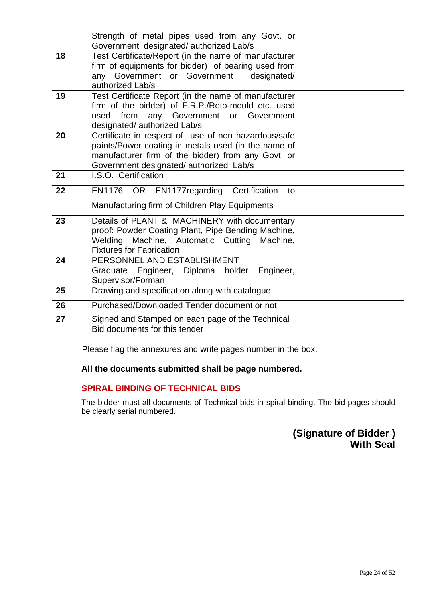| Government designated/authorized Lab/s<br>Test Certificate/Report (in the name of manufacturer<br>18<br>firm of equipments for bidder) of bearing used from<br>any Government or Government designated/<br>authorized Lab/s<br>Test Certificate Report (in the name of manufacturer<br>19<br>firm of the bidder) of F.R.P./Roto-mould etc. used<br>from<br>any Government or Government<br>used<br>designated/ authorized Lab/s<br>Certificate in respect of use of non hazardous/safe<br>20<br>paints/Power coating in metals used (in the name of<br>manufacturer firm of the bidder) from any Govt. or<br>Government designated/authorized Lab/s<br>I.S.O. Certification<br>21<br>22<br>EN1176 OR EN1177regarding Certification<br>to<br>Manufacturing firm of Children Play Equipments<br>23<br>Details of PLANT & MACHINERY with documentary<br>proof: Powder Coating Plant, Pipe Bending Machine,<br>Welding Machine, Automatic Cutting Machine,<br><b>Fixtures for Fabrication</b><br>PERSONNEL AND ESTABLISHMENT<br>24<br>Graduate Engineer, Diploma holder<br>Engineer,<br>Supervisor/Forman<br>25<br>Drawing and specification along-with catalogue<br>Purchased/Downloaded Tender document or not<br>26<br>27<br>Signed and Stamped on each page of the Technical |                                                |  |  |
|------------------------------------------------------------------------------------------------------------------------------------------------------------------------------------------------------------------------------------------------------------------------------------------------------------------------------------------------------------------------------------------------------------------------------------------------------------------------------------------------------------------------------------------------------------------------------------------------------------------------------------------------------------------------------------------------------------------------------------------------------------------------------------------------------------------------------------------------------------------------------------------------------------------------------------------------------------------------------------------------------------------------------------------------------------------------------------------------------------------------------------------------------------------------------------------------------------------------------------------------------------------------------|------------------------------------------------|--|--|
|                                                                                                                                                                                                                                                                                                                                                                                                                                                                                                                                                                                                                                                                                                                                                                                                                                                                                                                                                                                                                                                                                                                                                                                                                                                                              | Strength of metal pipes used from any Govt. or |  |  |
|                                                                                                                                                                                                                                                                                                                                                                                                                                                                                                                                                                                                                                                                                                                                                                                                                                                                                                                                                                                                                                                                                                                                                                                                                                                                              |                                                |  |  |
|                                                                                                                                                                                                                                                                                                                                                                                                                                                                                                                                                                                                                                                                                                                                                                                                                                                                                                                                                                                                                                                                                                                                                                                                                                                                              |                                                |  |  |
|                                                                                                                                                                                                                                                                                                                                                                                                                                                                                                                                                                                                                                                                                                                                                                                                                                                                                                                                                                                                                                                                                                                                                                                                                                                                              |                                                |  |  |
|                                                                                                                                                                                                                                                                                                                                                                                                                                                                                                                                                                                                                                                                                                                                                                                                                                                                                                                                                                                                                                                                                                                                                                                                                                                                              |                                                |  |  |
|                                                                                                                                                                                                                                                                                                                                                                                                                                                                                                                                                                                                                                                                                                                                                                                                                                                                                                                                                                                                                                                                                                                                                                                                                                                                              |                                                |  |  |
|                                                                                                                                                                                                                                                                                                                                                                                                                                                                                                                                                                                                                                                                                                                                                                                                                                                                                                                                                                                                                                                                                                                                                                                                                                                                              |                                                |  |  |
|                                                                                                                                                                                                                                                                                                                                                                                                                                                                                                                                                                                                                                                                                                                                                                                                                                                                                                                                                                                                                                                                                                                                                                                                                                                                              |                                                |  |  |
|                                                                                                                                                                                                                                                                                                                                                                                                                                                                                                                                                                                                                                                                                                                                                                                                                                                                                                                                                                                                                                                                                                                                                                                                                                                                              |                                                |  |  |
|                                                                                                                                                                                                                                                                                                                                                                                                                                                                                                                                                                                                                                                                                                                                                                                                                                                                                                                                                                                                                                                                                                                                                                                                                                                                              |                                                |  |  |
|                                                                                                                                                                                                                                                                                                                                                                                                                                                                                                                                                                                                                                                                                                                                                                                                                                                                                                                                                                                                                                                                                                                                                                                                                                                                              |                                                |  |  |
|                                                                                                                                                                                                                                                                                                                                                                                                                                                                                                                                                                                                                                                                                                                                                                                                                                                                                                                                                                                                                                                                                                                                                                                                                                                                              |                                                |  |  |
|                                                                                                                                                                                                                                                                                                                                                                                                                                                                                                                                                                                                                                                                                                                                                                                                                                                                                                                                                                                                                                                                                                                                                                                                                                                                              |                                                |  |  |
|                                                                                                                                                                                                                                                                                                                                                                                                                                                                                                                                                                                                                                                                                                                                                                                                                                                                                                                                                                                                                                                                                                                                                                                                                                                                              |                                                |  |  |
|                                                                                                                                                                                                                                                                                                                                                                                                                                                                                                                                                                                                                                                                                                                                                                                                                                                                                                                                                                                                                                                                                                                                                                                                                                                                              |                                                |  |  |
|                                                                                                                                                                                                                                                                                                                                                                                                                                                                                                                                                                                                                                                                                                                                                                                                                                                                                                                                                                                                                                                                                                                                                                                                                                                                              |                                                |  |  |
|                                                                                                                                                                                                                                                                                                                                                                                                                                                                                                                                                                                                                                                                                                                                                                                                                                                                                                                                                                                                                                                                                                                                                                                                                                                                              |                                                |  |  |
|                                                                                                                                                                                                                                                                                                                                                                                                                                                                                                                                                                                                                                                                                                                                                                                                                                                                                                                                                                                                                                                                                                                                                                                                                                                                              |                                                |  |  |
|                                                                                                                                                                                                                                                                                                                                                                                                                                                                                                                                                                                                                                                                                                                                                                                                                                                                                                                                                                                                                                                                                                                                                                                                                                                                              |                                                |  |  |
|                                                                                                                                                                                                                                                                                                                                                                                                                                                                                                                                                                                                                                                                                                                                                                                                                                                                                                                                                                                                                                                                                                                                                                                                                                                                              |                                                |  |  |
|                                                                                                                                                                                                                                                                                                                                                                                                                                                                                                                                                                                                                                                                                                                                                                                                                                                                                                                                                                                                                                                                                                                                                                                                                                                                              |                                                |  |  |
|                                                                                                                                                                                                                                                                                                                                                                                                                                                                                                                                                                                                                                                                                                                                                                                                                                                                                                                                                                                                                                                                                                                                                                                                                                                                              |                                                |  |  |
|                                                                                                                                                                                                                                                                                                                                                                                                                                                                                                                                                                                                                                                                                                                                                                                                                                                                                                                                                                                                                                                                                                                                                                                                                                                                              |                                                |  |  |
|                                                                                                                                                                                                                                                                                                                                                                                                                                                                                                                                                                                                                                                                                                                                                                                                                                                                                                                                                                                                                                                                                                                                                                                                                                                                              |                                                |  |  |
|                                                                                                                                                                                                                                                                                                                                                                                                                                                                                                                                                                                                                                                                                                                                                                                                                                                                                                                                                                                                                                                                                                                                                                                                                                                                              |                                                |  |  |
|                                                                                                                                                                                                                                                                                                                                                                                                                                                                                                                                                                                                                                                                                                                                                                                                                                                                                                                                                                                                                                                                                                                                                                                                                                                                              |                                                |  |  |
|                                                                                                                                                                                                                                                                                                                                                                                                                                                                                                                                                                                                                                                                                                                                                                                                                                                                                                                                                                                                                                                                                                                                                                                                                                                                              |                                                |  |  |
|                                                                                                                                                                                                                                                                                                                                                                                                                                                                                                                                                                                                                                                                                                                                                                                                                                                                                                                                                                                                                                                                                                                                                                                                                                                                              |                                                |  |  |
|                                                                                                                                                                                                                                                                                                                                                                                                                                                                                                                                                                                                                                                                                                                                                                                                                                                                                                                                                                                                                                                                                                                                                                                                                                                                              |                                                |  |  |
|                                                                                                                                                                                                                                                                                                                                                                                                                                                                                                                                                                                                                                                                                                                                                                                                                                                                                                                                                                                                                                                                                                                                                                                                                                                                              |                                                |  |  |
|                                                                                                                                                                                                                                                                                                                                                                                                                                                                                                                                                                                                                                                                                                                                                                                                                                                                                                                                                                                                                                                                                                                                                                                                                                                                              |                                                |  |  |
|                                                                                                                                                                                                                                                                                                                                                                                                                                                                                                                                                                                                                                                                                                                                                                                                                                                                                                                                                                                                                                                                                                                                                                                                                                                                              |                                                |  |  |
|                                                                                                                                                                                                                                                                                                                                                                                                                                                                                                                                                                                                                                                                                                                                                                                                                                                                                                                                                                                                                                                                                                                                                                                                                                                                              | Bid documents for this tender                  |  |  |
|                                                                                                                                                                                                                                                                                                                                                                                                                                                                                                                                                                                                                                                                                                                                                                                                                                                                                                                                                                                                                                                                                                                                                                                                                                                                              |                                                |  |  |

Please flag the annexures and write pages number in the box.

## **All the documents submitted shall be page numbered.**

## **SPIRAL BINDING OF TECHNICAL BIDS**

The bidder must all documents of Technical bids in spiral binding. The bid pages should be clearly serial numbered.

# **(Signature of Bidder ) With Seal**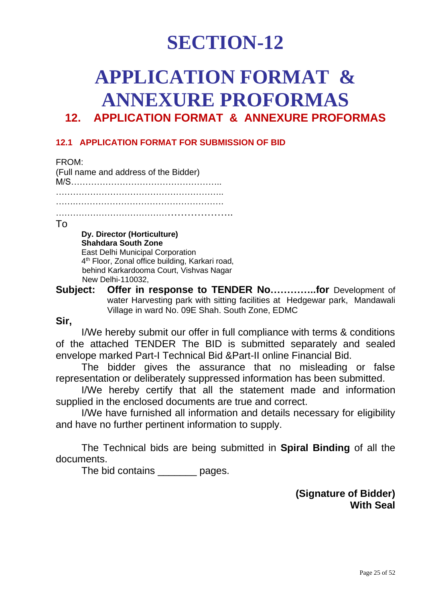# **APPLICATION FORMAT & ANNEXURE PROFORMAS**

# **12. APPLICATION FORMAT & ANNEXURE PROFORMAS**

# **12.1 APPLICATION FORMAT FOR SUBMISSION OF BID**

FROM: (Full name and address of the Bidder) M/S…………………………………………….. ………………………………………………….. …….…………………………………………….

…………………………………………………..

#### To

**Dy. Director (Horticulture) Shahdara South Zone** East Delhi Municipal Corporation 4<sup>th</sup> Floor, Zonal office building, Karkari road, behind Karkardooma Court, Vishvas Nagar New Delhi-110032,

**Subject: Offer in response to TENDER No…………..for** Development of water Harvesting park with sitting facilities at Hedgewar park, Mandawali Village in ward No. 09E Shah. South Zone, EDMC

## **Sir,**

I/We hereby submit our offer in full compliance with terms & conditions of the attached TENDER The BID is submitted separately and sealed envelope marked Part-I Technical Bid &Part-II online Financial Bid.

The bidder gives the assurance that no misleading or false representation or deliberately suppressed information has been submitted.

I/We hereby certify that all the statement made and information supplied in the enclosed documents are true and correct.

I/We have furnished all information and details necessary for eligibility and have no further pertinent information to supply.

The Technical bids are being submitted in **Spiral Binding** of all the documents.

The bid contains **the pages**.

**(Signature of Bidder) With Seal**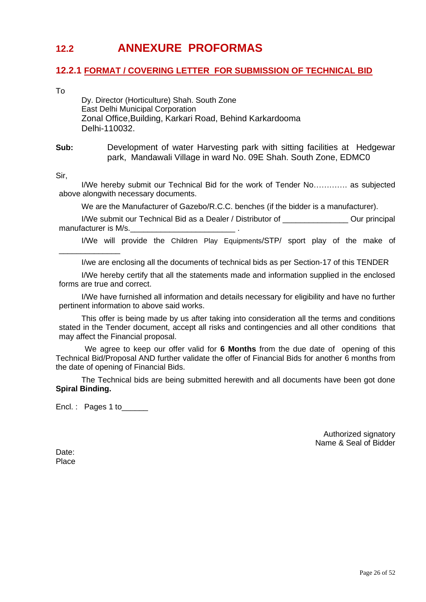# **12.2 ANNEXURE PROFORMAS**

### **12.2.1 FORMAT / COVERING LETTER FOR SUBMISSION OF TECHNICAL BID**

To

Dy. Director (Horticulture) Shah. South Zone East Delhi Municipal Corporation Zonal Office,Building, Karkari Road, Behind Karkardooma Delhi-110032.

**Sub:** Development of water Harvesting park with sitting facilities at Hedgewar park, Mandawali Village in ward No. 09E Shah. South Zone, EDMC0

Sir,

\_\_\_\_\_\_\_\_\_\_\_\_\_\_

I/We hereby submit our Technical Bid for the work of Tender No…………. as subjected above alongwith necessary documents.

We are the Manufacturer of Gazebo/R.C.C. benches (if the bidder is a manufacturer).

I/We submit our Technical Bid as a Dealer / Distributor of \_\_\_\_\_\_\_\_\_\_\_\_\_\_\_ Our principal manufacturer is M/s.

I/We will provide the Children Play Equipments/STP/ sport play of the make of

I/we are enclosing all the documents of technical bids as per Section-17 of this TENDER

I/We hereby certify that all the statements made and information supplied in the enclosed forms are true and correct.

I/We have furnished all information and details necessary for eligibility and have no further pertinent information to above said works.

This offer is being made by us after taking into consideration all the terms and conditions stated in the Tender document, accept all risks and contingencies and all other conditions that may affect the Financial proposal.

We agree to keep our offer valid for **6 Months** from the due date of opening of this Technical Bid/Proposal AND further validate the offer of Financial Bids for another 6 months from the date of opening of Financial Bids.

The Technical bids are being submitted herewith and all documents have been got done **Spiral Binding.**

Encl. : Pages 1 to

Authorized signatory Name & Seal of Bidder

Date: Place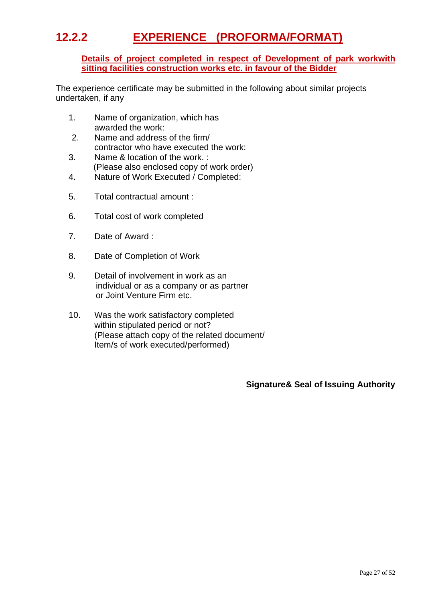# **12.2.2 EXPERIENCE (PROFORMA/FORMAT)**

#### **Details of project completed in respect of Development of park workwith sitting facilities construction works etc. in favour of the Bidder**

The experience certificate may be submitted in the following about similar projects undertaken, if any

- 1. Name of organization, which has awarded the work:
- 2. Name and address of the firm/ contractor who have executed the work:
- 3. Name & location of the work. : (Please also enclosed copy of work order)
- 4. Nature of Work Executed / Completed:
- 5. Total contractual amount :
- 6. Total cost of work completed
- 7. Date of Award :
- 8. Date of Completion of Work
- 9. Detail of involvement in work as an individual or as a company or as partner or Joint Venture Firm etc.
- 10. Was the work satisfactory completed within stipulated period or not? (Please attach copy of the related document/ Item/s of work executed/performed)

## **Signature& Seal of Issuing Authority**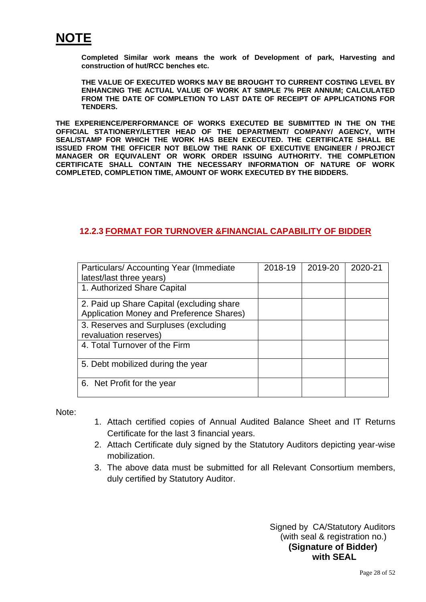

**Completed Similar work means the work of Development of park, Harvesting and construction of hut/RCC benches etc.**

**THE VALUE OF EXECUTED WORKS MAY BE BROUGHT TO CURRENT COSTING LEVEL BY ENHANCING THE ACTUAL VALUE OF WORK AT SIMPLE 7% PER ANNUM; CALCULATED FROM THE DATE OF COMPLETION TO LAST DATE OF RECEIPT OF APPLICATIONS FOR TENDERS.**

**THE EXPERIENCE/PERFORMANCE OF WORKS EXECUTED BE SUBMITTED IN THE ON THE OFFICIAL STATIONERY/LETTER HEAD OF THE DEPARTMENT/ COMPANY/ AGENCY, WITH SEAL/STAMP FOR WHICH THE WORK HAS BEEN EXECUTED. THE CERTIFICATE SHALL BE ISSUED FROM THE OFFICER NOT BELOW THE RANK OF EXECUTIVE ENGINEER / PROJECT MANAGER OR EQUIVALENT OR WORK ORDER ISSUING AUTHORITY. THE COMPLETION CERTIFICATE SHALL CONTAIN THE NECESSARY INFORMATION OF NATURE OF WORK COMPLETED, COMPLETION TIME, AMOUNT OF WORK EXECUTED BY THE BIDDERS.**

### **12.2.3 FORMAT FOR TURNOVER &FINANCIAL CAPABILITY OF BIDDER**

| Particulars/ Accounting Year (Immediate<br>latest/last three years)                   | 2018-19 | 2019-20 | 2020-21 |
|---------------------------------------------------------------------------------------|---------|---------|---------|
| 1. Authorized Share Capital                                                           |         |         |         |
| 2. Paid up Share Capital (excluding share<br>Application Money and Preference Shares) |         |         |         |
| 3. Reserves and Surpluses (excluding<br>revaluation reserves)                         |         |         |         |
| 4. Total Turnover of the Firm                                                         |         |         |         |
| 5. Debt mobilized during the year                                                     |         |         |         |
| 6. Net Profit for the year                                                            |         |         |         |

Note:

- 1. Attach certified copies of Annual Audited Balance Sheet and IT Returns Certificate for the last 3 financial years.
- 2. Attach Certificate duly signed by the Statutory Auditors depicting year-wise mobilization.
- 3. The above data must be submitted for all Relevant Consortium members, duly certified by Statutory Auditor.

Signed by CA/Statutory Auditors (with seal & registration no.) **(Signature of Bidder) with SEAL**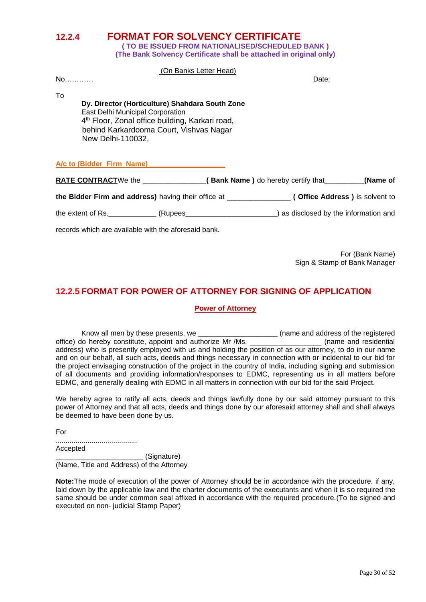**12.2.4 FORMAT FOR SOLVENCY CERTIFICATE ( TO BE ISSUED FROM NATIONALISED/SCHEDULED BANK )**

**(The Bank Solvency Certificate shall be attached in original only)**

#### (On Banks Letter Head)

| No                                                  |                                                                                                                                                                                                      | <b>IVII DAIINO LUIUTI I IUAU</b> | Date:                                                                                                 |                                     |
|-----------------------------------------------------|------------------------------------------------------------------------------------------------------------------------------------------------------------------------------------------------------|----------------------------------|-------------------------------------------------------------------------------------------------------|-------------------------------------|
| To<br>New Delhi-110032,                             | Dy. Director (Horticulture) Shahdara South Zone<br><b>East Delhi Municipal Corporation</b><br>4 <sup>th</sup> Floor, Zonal office building, Karkari road,<br>behind Karkardooma Court, Vishvas Nagar |                                  |                                                                                                       |                                     |
| A/c to (Bidder Firm Name) A/c to (Bidder Firm Name) |                                                                                                                                                                                                      |                                  |                                                                                                       |                                     |
|                                                     |                                                                                                                                                                                                      |                                  | <b>RATE CONTRACT</b> We the __________________( Bank Name ) do hereby certify that ________           | (Name of                            |
|                                                     |                                                                                                                                                                                                      |                                  | the Bidder Firm and address) having their office at _________________( Office Address ) is solvent to |                                     |
| the extent of Rs.                                   | (Rupees                                                                                                                                                                                              |                                  |                                                                                                       | as disclosed by the information and |

records which are available with the aforesaid bank.

For (Bank Name) Sign & Stamp of Bank Manager

## **12.2.5 FORMAT FOR POWER OF ATTORNEY FOR SIGNING OF APPLICATION**

#### **Power of Attorney**

Know all men by these presents, we \_\_\_\_\_\_\_\_\_\_\_\_\_\_\_\_\_\_\_\_ (name and address of the registered office) do hereby constitute, appoint and authorize Mr /Ms. \_\_\_\_\_\_\_\_\_\_\_\_\_\_\_\_\_\_ (name and residential address) who is presently employed with us and holding the position of as our attorney, to do in our name and on our behalf, all such acts, deeds and things necessary in connection with or incidental to our bid for the project envisaging construction of the project in the country of India, including signing and submission of all documents and providing information/responses to EDMC, representing us in all matters before EDMC, and generally dealing with EDMC in all matters in connection with our bid for the said Project.

We hereby agree to ratify all acts, deeds and things lawfully done by our said attorney pursuant to this power of Attorney and that all acts, deeds and things done by our aforesaid attorney shall and shall always be deemed to have been done by us.

For

......................................... Accepted \_\_\_\_\_\_\_\_\_\_\_\_\_\_\_\_\_\_\_\_\_\_ (Signature)

(Name, Title and Address) of the Attorney

**Note:**The mode of execution of the power of Attorney should be in accordance with the procedure, if any, laid down by the applicable law and the charter documents of the executants and when it is so required the same should be under common seal affixed in accordance with the required procedure.(To be signed and executed on non- judicial Stamp Paper)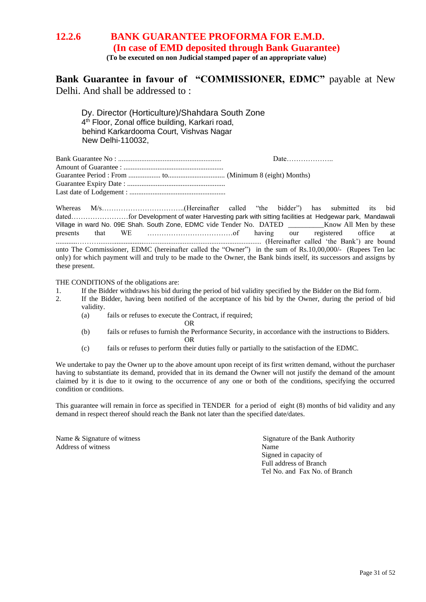## **12.2.6 BANK GUARANTEE PROFORMA FOR E.M.D. (In case of EMD deposited through Bank Guarantee) (To be executed on non Judicial stamped paper of an appropriate value)**

**Bank Guarantee in favour of "COMMISSIONER, EDMC"** payable at New Delhi. And shall be addressed to :

Dy. Director (Horticulture)/Shahdara South Zone 4 th Floor, Zonal office building, Karkari road, behind Karkardooma Court, Vishvas Nagar New Delhi-110032,

| Date |
|------|
|      |
|      |
|      |
|      |

Whereas M/s……………………………..(Hereinafter called "the bidder") has submitted its bid dated……………………for Development of water Harvesting park with sitting facilities at Hedgewar park, Mandawali Village in ward No. 09E Shah. South Zone, EDMC vide Tender No. DATED Know All Men by these presents that WE …………………………………of having our registered office at ............………........................................................................................... (Hereinafter called 'the Bank') are bound unto The Commissioner, EDMC (hereinafter called the "Owner") in the sum of Rs.10,00,000/- (Rupees Ten lac only) for which payment will and truly to be made to the Owner, the Bank binds itself, its successors and assigns by these present.

THE CONDITIONS of the obligations are:

- 1. If the Bidder withdraws his bid during the period of bid validity specified by the Bidder on the Bid form.
- 2. If the Bidder, having been notified of the acceptance of his bid by the Owner, during the period of bid validity.
	- (a) fails or refuses to execute the Contract, if required;
		- OR
	- (b) fails or refuses to furnish the Performance Security, in accordance with the instructions to Bidders. OR
	- (c) fails or refuses to perform their duties fully or partially to the satisfaction of the EDMC.

We undertake to pay the Owner up to the above amount upon receipt of its first written demand, without the purchaser having to substantiate its demand, provided that in its demand the Owner will not justify the demand of the amount claimed by it is due to it owing to the occurrence of any one or both of the conditions, specifying the occurred condition or conditions.

This guarantee will remain in force as specified in TENDER for a period of eight (8) months of bid validity and any demand in respect thereof should reach the Bank not later than the specified date/dates.

Address of witness Name

Name & Signature of witness Signature of the Bank Authority Signed in capacity of Full address of Branch Tel No. and Fax No. of Branch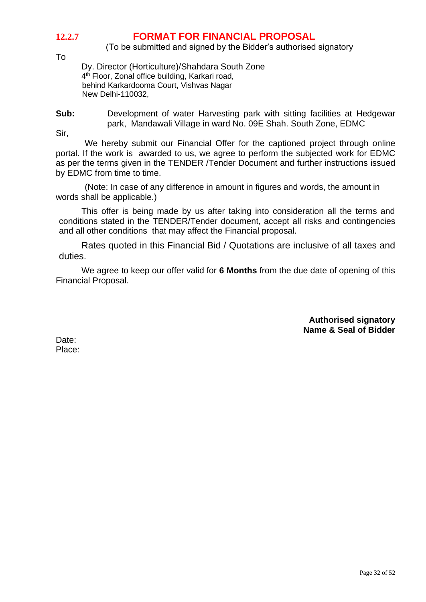# **12.2.7 FORMAT FOR FINANCIAL PROPOSAL**

(To be submitted and signed by the Bidder's authorised signatory

To

Dy. Director (Horticulture)/Shahdara South Zone 4<sup>th</sup> Floor, Zonal office building, Karkari road, behind Karkardooma Court, Vishvas Nagar New Delhi-110032,

**Sub:** Development of water Harvesting park with sitting facilities at Hedgewar park, Mandawali Village in ward No. 09E Shah. South Zone, EDMC

Sir,

We hereby submit our Financial Offer for the captioned project through online portal. If the work is awarded to us, we agree to perform the subjected work for EDMC as per the terms given in the TENDER /Tender Document and further instructions issued by EDMC from time to time.

(Note: In case of any difference in amount in figures and words, the amount in words shall be applicable.)

This offer is being made by us after taking into consideration all the terms and conditions stated in the TENDER/Tender document, accept all risks and contingencies and all other conditions that may affect the Financial proposal.

Rates quoted in this Financial Bid / Quotations are inclusive of all taxes and duties.

We agree to keep our offer valid for **6 Months** from the due date of opening of this Financial Proposal.

> **Authorised signatory Name & Seal of Bidder**

Date: Place: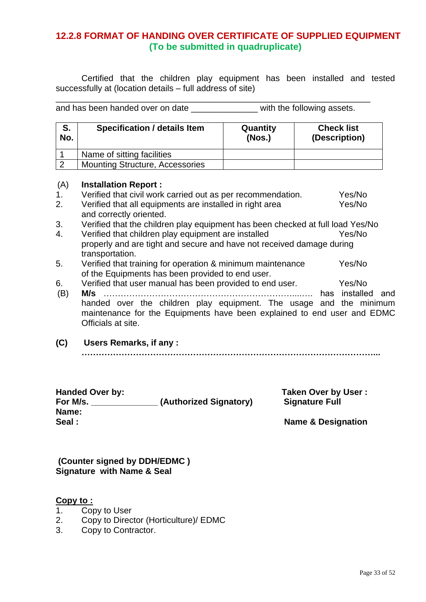## **12.2.8 FORMAT OF HANDING OVER CERTIFICATE OF SUPPLIED EQUIPMENT (To be submitted in quadruplicate)**

Certified that the children play equipment has been installed and tested successfully at (location details – full address of site)

and has been handed over on date \_\_\_\_\_\_\_\_\_\_\_\_\_\_\_\_\_ with the following assets.

\_\_\_\_\_\_\_\_\_\_\_\_\_\_\_\_\_\_\_\_\_\_\_\_\_\_\_\_\_\_\_\_\_\_\_\_\_\_\_\_\_\_\_\_\_\_\_\_\_\_\_\_\_\_\_\_\_\_\_\_\_\_\_\_\_\_

| S.<br>No. | <b>Specification / details Item</b>    | Quantity<br>(Nos.) | <b>Check list</b><br>(Description) |
|-----------|----------------------------------------|--------------------|------------------------------------|
|           | Name of sitting facilities             |                    |                                    |
|           | <b>Mounting Structure, Accessories</b> |                    |                                    |

#### (A) **Installation Report :**

- 1. Verified that civil work carried out as per recommendation. Yes/No 2. Verified that all equipments are installed in right area Yes/No and correctly oriented. 3. Verified that the children play equipment has been checked at full load Yes/No 4. Verified that children play equipment are installed Yes/No properly and are tight and secure and have not received damage during transportation.
- 5. Verified that training for operation & minimum maintenance Yes/No of the Equipments has been provided to end user.
- 6. Verified that user manual has been provided to end user. Yes/No (B) **M/s** …………………………………………………………....…. has installed and handed over the children play equipment. The usage and the minimum maintenance for the Equipments have been explained to end user and EDMC Officials at site.
- **(C) Users Remarks, if any :**

**…………………………………………………………………………………………...**

## **Handed Over by: Taken Over by User : For M/s. \_\_\_\_\_\_\_\_\_\_\_\_\_\_ (Authorized Signatory) Signature Full Name:**  Seal : Seal : Name & Designation

#### **(Counter signed by DDH/EDMC ) Signature with Name & Seal**

### **Copy to :**

- 1. Copy to User
- 2. Copy to Director (Horticulture)/ EDMC
- 3. Copy to Contractor.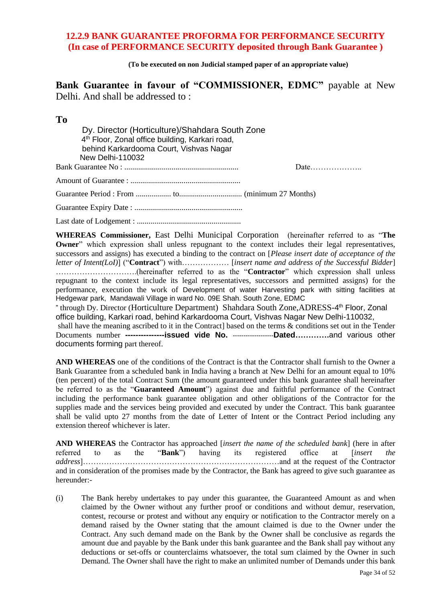## **12.2.9 BANK GUARANTEE PROFORMA FOR PERFORMANCE SECURITY (In case of PERFORMANCE SECURITY deposited through Bank Guarantee )**

**(To be executed on non Judicial stamped paper of an appropriate value)**

**Bank Guarantee in favour of "COMMISSIONER, EDMC"** payable at New Delhi. And shall be addressed to :

#### **To**

 Dy. Director (Horticulture)/Shahdara South Zone 4<sup>th</sup> Floor, Zonal office building, Karkari road, behind Karkardooma Court, Vishvas Nagar New Delhi-110032 Bank Guarantee No : .......................................................... Date……………….. Amount of Guarantee : ........................................................ Guarantee Period : From .................. to................................ (minimum 27 Months) Guarantee Expiry Date : ....................................................... Last date of Lodgement : .....................................................

**WHEREAS Commissioner,** East Delhi Municipal Corporation (hereinafter referred to as "**The Owner**" which expression shall unless repugnant to the context includes their legal representatives, successors and assigns) has executed a binding to the contract on [*Please insert date of acceptance of the letter of Intent(LoI)*] ("**Contract**") with……………… [*insert name and address of the Successful Bidder*] ………………………….(hereinafter referred to as the "**Contractor**" which expression shall unless repugnant to the context include its legal representatives, successors and permitted assigns) for the performance, execution the work of Development of water Harvesting park with sitting facilities at Hedgewar park, Mandawali Village in ward No. 09E Shah. South Zone, EDMC " through Dy. Director (Horticulture Department) Shahdara South Zone, ADRESS-4<sup>th</sup> Floor, Zonal office building, Karkari road, behind Karkardooma Court, Vishvas Nagar New Delhi-110032, shall have the meaning ascribed to it in the Contract based on the terms & conditions set out in the Tender Documents number **---------------issued vide No.** -------------------**Dated………….**and various other documents forming part thereof.

**AND WHEREAS** one of the conditions of the Contract is that the Contractor shall furnish to the Owner a Bank Guarantee from a scheduled bank in India having a branch at New Delhi for an amount equal to 10% (ten percent) of the total Contract Sum (the amount guaranteed under this bank guarantee shall hereinafter be referred to as the "**Guaranteed Amount**") against due and faithful performance of the Contract including the performance bank guarantee obligation and other obligations of the Contractor for the supplies made and the services being provided and executed by under the Contract. This bank guarantee shall be valid upto 27 months from the date of Letter of Intent or the Contract Period including any extension thereof whichever is later.

**AND WHEREAS** the Contractor has approached *[insert the name of the scheduled bank*] (here in after referred to as the "Bank") having its registered office at *[insert the* referred to as the "**Bank**") having its registered office at [*insert the address*]…………………………………………………………………and at the request of the Contractor and in consideration of the promises made by the Contractor, the Bank has agreed to give such guarantee as hereunder:-

(i) The Bank hereby undertakes to pay under this guarantee, the Guaranteed Amount as and when claimed by the Owner without any further proof or conditions and without demur, reservation, contest, recourse or protest and without any enquiry or notification to the Contractor merely on a demand raised by the Owner stating that the amount claimed is due to the Owner under the Contract. Any such demand made on the Bank by the Owner shall be conclusive as regards the amount due and payable by the Bank under this bank guarantee and the Bank shall pay without any deductions or set-offs or counterclaims whatsoever, the total sum claimed by the Owner in such Demand. The Owner shall have the right to make an unlimited number of Demands under this bank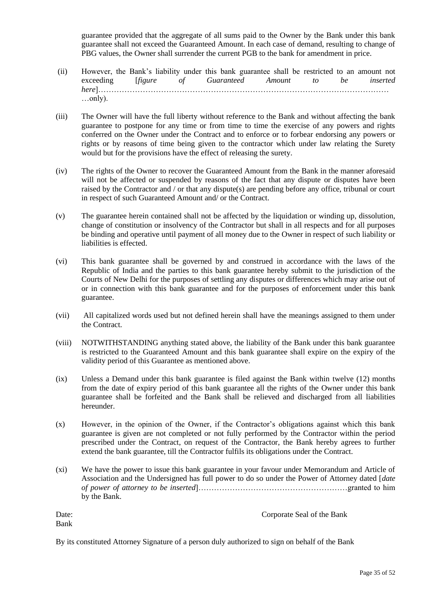guarantee provided that the aggregate of all sums paid to the Owner by the Bank under this bank guarantee shall not exceed the Guaranteed Amount. In each case of demand, resulting to change of PBG values, the Owner shall surrender the current PGB to the bank for amendment in price.

- (ii) However, the Bank's liability under this bank guarantee shall be restricted to an amount not exceeding [*figure of Guaranteed Amount to be inserted here*]………………………………………………………………………………………………… …only).
- (iii) The Owner will have the full liberty without reference to the Bank and without affecting the bank guarantee to postpone for any time or from time to time the exercise of any powers and rights conferred on the Owner under the Contract and to enforce or to forbear endorsing any powers or rights or by reasons of time being given to the contractor which under law relating the Surety would but for the provisions have the effect of releasing the surety.
- (iv) The rights of the Owner to recover the Guaranteed Amount from the Bank in the manner aforesaid will not be affected or suspended by reasons of the fact that any dispute or disputes have been raised by the Contractor and / or that any dispute(s) are pending before any office, tribunal or court in respect of such Guaranteed Amount and/ or the Contract.
- (v) The guarantee herein contained shall not be affected by the liquidation or winding up, dissolution, change of constitution or insolvency of the Contractor but shall in all respects and for all purposes be binding and operative until payment of all money due to the Owner in respect of such liability or liabilities is effected.
- (vi) This bank guarantee shall be governed by and construed in accordance with the laws of the Republic of India and the parties to this bank guarantee hereby submit to the jurisdiction of the Courts of New Delhi for the purposes of settling any disputes or differences which may arise out of or in connection with this bank guarantee and for the purposes of enforcement under this bank guarantee.
- (vii) All capitalized words used but not defined herein shall have the meanings assigned to them under the Contract.
- (viii) NOTWITHSTANDING anything stated above, the liability of the Bank under this bank guarantee is restricted to the Guaranteed Amount and this bank guarantee shall expire on the expiry of the validity period of this Guarantee as mentioned above.
- (ix) Unless a Demand under this bank guarantee is filed against the Bank within twelve (12) months from the date of expiry period of this bank guarantee all the rights of the Owner under this bank guarantee shall be forfeited and the Bank shall be relieved and discharged from all liabilities hereunder.
- (x) However, in the opinion of the Owner, if the Contractor's obligations against which this bank guarantee is given are not completed or not fully performed by the Contractor within the period prescribed under the Contract, on request of the Contractor, the Bank hereby agrees to further extend the bank guarantee, till the Contractor fulfils its obligations under the Contract.
- (xi) We have the power to issue this bank guarantee in your favour under Memorandum and Article of Association and the Undersigned has full power to do so under the Power of Attorney dated [*date of power of attorney to be inserted*]…………………………………………………granted to him by the Bank.

| Date: | Corporate Seal of the Bank |
|-------|----------------------------|
| Bank  |                            |

By its constituted Attorney Signature of a person duly authorized to sign on behalf of the Bank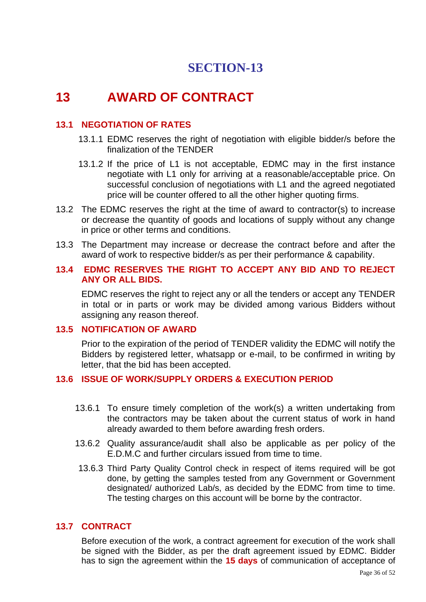# **13 AWARD OF CONTRACT**

## **13.1 NEGOTIATION OF RATES**

- 13.1.1 EDMC reserves the right of negotiation with eligible bidder/s before the finalization of the TENDER
- 13.1.2 If the price of L1 is not acceptable, EDMC may in the first instance negotiate with L1 only for arriving at a reasonable/acceptable price. On successful conclusion of negotiations with L1 and the agreed negotiated price will be counter offered to all the other higher quoting firms.
- 13.2 The EDMC reserves the right at the time of award to contractor(s) to increase or decrease the quantity of goods and locations of supply without any change in price or other terms and conditions.
- 13.3 The Department may increase or decrease the contract before and after the award of work to respective bidder/s as per their performance & capability.

### **13.4 EDMC RESERVES THE RIGHT TO ACCEPT ANY BID AND TO REJECT ANY OR ALL BIDS.**

EDMC reserves the right to reject any or all the tenders or accept any TENDER in total or in parts or work may be divided among various Bidders without assigning any reason thereof.

## **13.5 NOTIFICATION OF AWARD**

Prior to the expiration of the period of TENDER validity the EDMC will notify the Bidders by registered letter, whatsapp or e-mail, to be confirmed in writing by letter, that the bid has been accepted.

## **13.6 ISSUE OF WORK/SUPPLY ORDERS & EXECUTION PERIOD**

- 13.6.1 To ensure timely completion of the work(s) a written undertaking from the contractors may be taken about the current status of work in hand already awarded to them before awarding fresh orders.
- 13.6.2 Quality assurance/audit shall also be applicable as per policy of the E.D.M.C and further circulars issued from time to time.
- 13.6.3 Third Party Quality Control check in respect of items required will be got done, by getting the samples tested from any Government or Government designated/ authorized Lab/s, as decided by the EDMC from time to time. The testing charges on this account will be borne by the contractor.

### **13.7 CONTRACT**

Before execution of the work, a contract agreement for execution of the work shall be signed with the Bidder, as per the draft agreement issued by EDMC. Bidder has to sign the agreement within the **15 days** of communication of acceptance of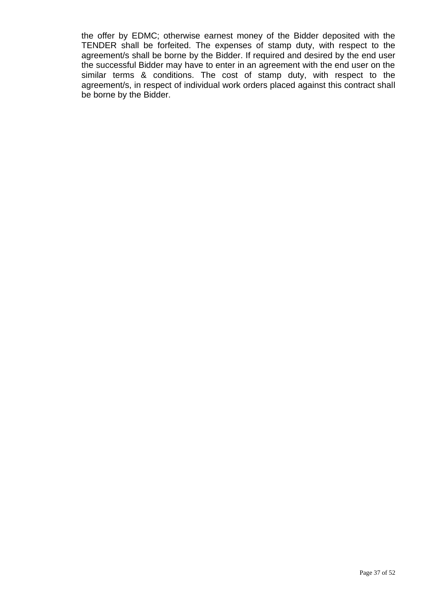the offer by EDMC; otherwise earnest money of the Bidder deposited with the TENDER shall be forfeited. The expenses of stamp duty, with respect to the agreement/s shall be borne by the Bidder. If required and desired by the end user the successful Bidder may have to enter in an agreement with the end user on the similar terms & conditions. The cost of stamp duty, with respect to the agreement/s, in respect of individual work orders placed against this contract shall be borne by the Bidder.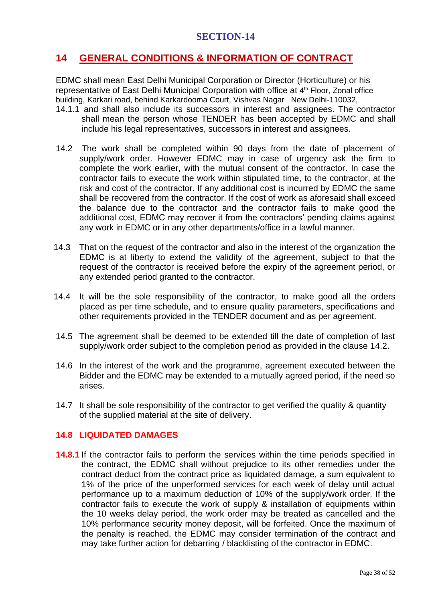# **14 GENERAL CONDITIONS & INFORMATION OF CONTRACT**

EDMC shall mean East Delhi Municipal Corporation or Director (Horticulture) or his representative of East Delhi Municipal Corporation with office at 4<sup>th</sup> Floor, Zonal office building, Karkari road, behind Karkardooma Court, Vishvas Nagar New Delhi-110032,

- 14.1.1 and shall also include its successors in interest and assignees. The contractor shall mean the person whose TENDER has been accepted by EDMC and shall include his legal representatives, successors in interest and assignees.
- 14.2 The work shall be completed within 90 days from the date of placement of supply/work order. However EDMC may in case of urgency ask the firm to complete the work earlier, with the mutual consent of the contractor. In case the contractor fails to execute the work within stipulated time, to the contractor, at the risk and cost of the contractor. If any additional cost is incurred by EDMC the same shall be recovered from the contractor. If the cost of work as aforesaid shall exceed the balance due to the contractor and the contractor fails to make good the additional cost, EDMC may recover it from the contractors' pending claims against any work in EDMC or in any other departments/office in a lawful manner.
- 14.3 That on the request of the contractor and also in the interest of the organization the EDMC is at liberty to extend the validity of the agreement, subject to that the request of the contractor is received before the expiry of the agreement period, or any extended period granted to the contractor.
- 14.4 It will be the sole responsibility of the contractor, to make good all the orders placed as per time schedule, and to ensure quality parameters, specifications and other requirements provided in the TENDER document and as per agreement.
- 14.5 The agreement shall be deemed to be extended till the date of completion of last supply/work order subject to the completion period as provided in the clause 14.2.
- 14.6 In the interest of the work and the programme, agreement executed between the Bidder and the EDMC may be extended to a mutually agreed period, if the need so arises.
- 14.7 It shall be sole responsibility of the contractor to get verified the quality & quantity of the supplied material at the site of delivery.

## **14.8 LIQUIDATED DAMAGES**

**14.8.1** If the contractor fails to perform the services within the time periods specified in the contract, the EDMC shall without prejudice to its other remedies under the contract deduct from the contract price as liquidated damage, a sum equivalent to 1% of the price of the unperformed services for each week of delay until actual performance up to a maximum deduction of 10% of the supply/work order. If the contractor fails to execute the work of supply & installation of equipments within the 10 weeks delay period, the work order may be treated as cancelled and the 10% performance security money deposit, will be forfeited. Once the maximum of the penalty is reached, the EDMC may consider termination of the contract and may take further action for debarring / blacklisting of the contractor in EDMC.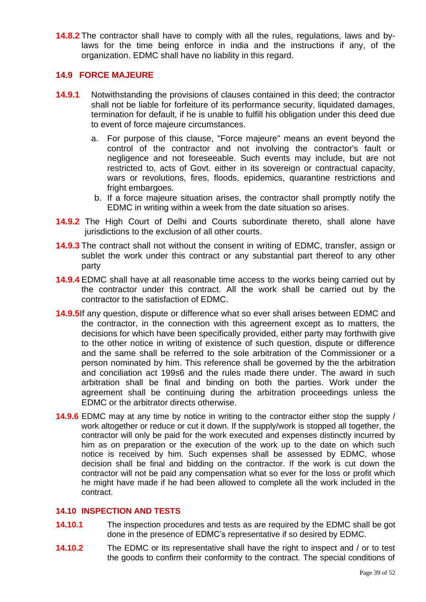**14.8.2** The contractor shall have to comply with all the rules, regulations, laws and bylaws for the time being enforce in india and the instructions if any, of the organization. EDMC shall have no liability in this regard.

## **14.9 FORCE MAJEURE**

- **14.9.1** Notwithstanding the provisions of clauses contained in this deed; the contractor shall not be liable for forfeiture of its performance security, liquidated damages, termination for default, if he is unable to fulfill his obligation under this deed due to event of force majeure circumstances.
	- a. For purpose of this clause, "Force majeure" means an event beyond the control of the contractor and not involving the contractor's fault or negligence and not foreseeable. Such events may include, but are not restricted to, acts of Govt. either in its sovereign or contractual capacity, wars or revolutions, fires, floods, epidemics, quarantine restrictions and fright embargoes.
	- b. If a force majeure situation arises, the contractor shall promptly notify the EDMC in writing within a week from the date situation so arises.
- **14.9.2** The High Court of Delhi and Courts subordinate thereto, shall alone have jurisdictions to the exclusion of all other courts.
- **14.9.3** The contract shall not without the consent in writing of EDMC, transfer, assign or sublet the work under this contract or any substantial part thereof to any other party
- **14.9.4** EDMC shall have at all reasonable time access to the works being carried out by the contractor under this contract. All the work shall be carried out by the contractor to the satisfaction of EDMC.
- **14.9.5**If any question, dispute or difference what so ever shall arises between EDMC and the contractor, in the connection with this agreement except as to matters, the decisions for which have been specifically provided, either party may forthwith give to the other notice in writing of existence of such question, dispute or difference and the same shall be referred to the sole arbitration of the Commissioner or a person nominated by him. This reference shall be governed by the the arbitration and conciliation act 199s6 and the rules made there under. The award in such arbitration shall be final and binding on both the parties. Work under the agreement shall be continuing during the arbitration proceedings unless the EDMC or the arbitrator directs otherwise.
- **14.9.6** EDMC may at any time by notice in writing to the contractor either stop the supply / work altogether or reduce or cut it down. If the supply/work is stopped all together, the contractor will only be paid for the work executed and expenses distinctly incurred by him as on preparation or the execution of the work up to the date on which such notice is received by him. Such expenses shall be assessed by EDMC, whose decision shall be final and bidding on the contractor. If the work is cut down the contractor will not be paid any compensation what so ever for the loss or profit which he might have made if he had been allowed to complete all the work included in the contract.

### **14.10 INSPECTION AND TESTS**

- **14.10.1** The inspection procedures and tests as are required by the EDMC shall be got done in the presence of EDMC's representative if so desired by EDMC.
- **14.10.2** The EDMC or its representative shall have the right to inspect and / or to test the goods to confirm their conformity to the contract. The special conditions of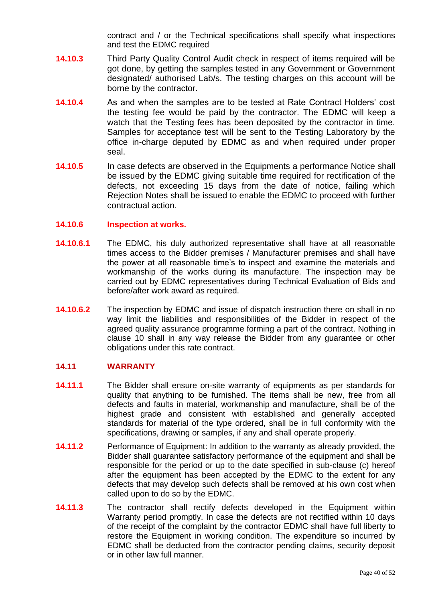contract and / or the Technical specifications shall specify what inspections and test the EDMC required

- **14.10.3** Third Party Quality Control Audit check in respect of items required will be got done, by getting the samples tested in any Government or Government designated/ authorised Lab/s. The testing charges on this account will be borne by the contractor.
- **14.10.4** As and when the samples are to be tested at Rate Contract Holders' cost the testing fee would be paid by the contractor. The EDMC will keep a watch that the Testing fees has been deposited by the contractor in time. Samples for acceptance test will be sent to the Testing Laboratory by the office in-charge deputed by EDMC as and when required under proper seal.
- **14.10.5** In case defects are observed in the Equipments a performance Notice shall be issued by the EDMC giving suitable time required for rectification of the defects, not exceeding 15 days from the date of notice, failing which Rejection Notes shall be issued to enable the EDMC to proceed with further contractual action.

#### **14.10.6 Inspection at works.**

- **14.10.6.1** The EDMC, his duly authorized representative shall have at all reasonable times access to the Bidder premises / Manufacturer premises and shall have the power at all reasonable time's to inspect and examine the materials and workmanship of the works during its manufacture. The inspection may be carried out by EDMC representatives during Technical Evaluation of Bids and before/after work award as required.
- **14.10.6.2** The inspection by EDMC and issue of dispatch instruction there on shall in no way limit the liabilities and responsibilities of the Bidder in respect of the agreed quality assurance programme forming a part of the contract. Nothing in clause 10 shall in any way release the Bidder from any guarantee or other obligations under this rate contract.

#### **14.11 WARRANTY**

- **14.11.1** The Bidder shall ensure on-site warranty of equipments as per standards for quality that anything to be furnished. The items shall be new, free from all defects and faults in material, workmanship and manufacture, shall be of the highest grade and consistent with established and generally accepted standards for material of the type ordered, shall be in full conformity with the specifications, drawing or samples, if any and shall operate properly.
- **14.11.2** Performance of Equipment: In addition to the warranty as already provided, the Bidder shall guarantee satisfactory performance of the equipment and shall be responsible for the period or up to the date specified in sub-clause (c) hereof after the equipment has been accepted by the EDMC to the extent for any defects that may develop such defects shall be removed at his own cost when called upon to do so by the EDMC.
- **14.11.3** The contractor shall rectify defects developed in the Equipment within Warranty period promptly. In case the defects are not rectified within 10 days of the receipt of the complaint by the contractor EDMC shall have full liberty to restore the Equipment in working condition. The expenditure so incurred by EDMC shall be deducted from the contractor pending claims, security deposit or in other law full manner.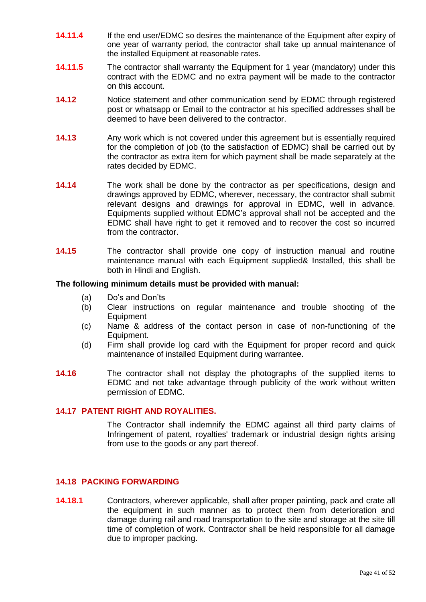- **14.11.4** If the end user/EDMC so desires the maintenance of the Equipment after expiry of one year of warranty period, the contractor shall take up annual maintenance of the installed Equipment at reasonable rates.
- **14.11.5** The contractor shall warranty the Equipment for 1 year (mandatory) under this contract with the EDMC and no extra payment will be made to the contractor on this account.
- **14.12** Notice statement and other communication send by EDMC through registered post or whatsapp or Email to the contractor at his specified addresses shall be deemed to have been delivered to the contractor.
- **14.13** Any work which is not covered under this agreement but is essentially required for the completion of job (to the satisfaction of EDMC) shall be carried out by the contractor as extra item for which payment shall be made separately at the rates decided by EDMC.
- **14.14** The work shall be done by the contractor as per specifications, design and drawings approved by EDMC, wherever, necessary, the contractor shall submit relevant designs and drawings for approval in EDMC, well in advance. Equipments supplied without EDMC's approval shall not be accepted and the EDMC shall have right to get it removed and to recover the cost so incurred from the contractor.
- **14.15** The contractor shall provide one copy of instruction manual and routine maintenance manual with each Equipment supplied& Installed, this shall be both in Hindi and English.

#### **The following minimum details must be provided with manual:**

- (a) Do's and Don'ts
- (b) Clear instructions on regular maintenance and trouble shooting of the Equipment
- (c) Name & address of the contact person in case of non-functioning of the Equipment.
- (d) Firm shall provide log card with the Equipment for proper record and quick maintenance of installed Equipment during warrantee.
- **14.16** The contractor shall not display the photographs of the supplied items to EDMC and not take advantage through publicity of the work without written permission of EDMC.

#### **14.17 PATENT RIGHT AND ROYALITIES.**

The Contractor shall indemnify the EDMC against all third party claims of Infringement of patent, royalties' trademark or industrial design rights arising from use to the goods or any part thereof.

#### **14.18 PACKING FORWARDING**

**14.18.1** Contractors, wherever applicable, shall after proper painting, pack and crate all the equipment in such manner as to protect them from deterioration and damage during rail and road transportation to the site and storage at the site till time of completion of work. Contractor shall be held responsible for all damage due to improper packing.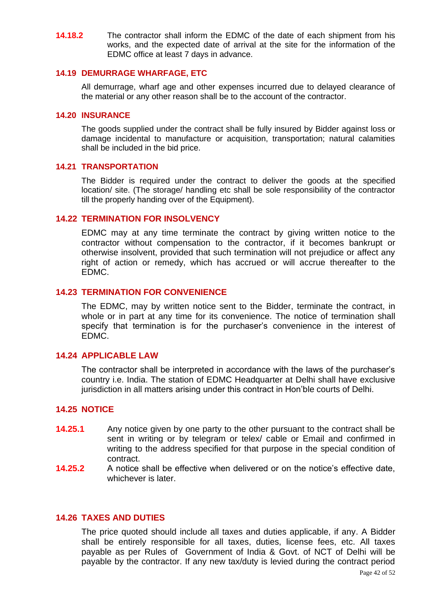**14.18.2** The contractor shall inform the EDMC of the date of each shipment from his works, and the expected date of arrival at the site for the information of the EDMC office at least 7 days in advance.

#### **14.19 DEMURRAGE WHARFAGE, ETC**

All demurrage, wharf age and other expenses incurred due to delayed clearance of the material or any other reason shall be to the account of the contractor.

#### **14.20 INSURANCE**

The goods supplied under the contract shall be fully insured by Bidder against loss or damage incidental to manufacture or acquisition, transportation; natural calamities shall be included in the bid price.

#### **14.21 TRANSPORTATION**

The Bidder is required under the contract to deliver the goods at the specified location/ site. (The storage/ handling etc shall be sole responsibility of the contractor till the properly handing over of the Equipment).

#### **14.22 TERMINATION FOR INSOLVENCY**

EDMC may at any time terminate the contract by giving written notice to the contractor without compensation to the contractor, if it becomes bankrupt or otherwise insolvent, provided that such termination will not prejudice or affect any right of action or remedy, which has accrued or will accrue thereafter to the EDMC.

#### **14.23 TERMINATION FOR CONVENIENCE**

The EDMC, may by written notice sent to the Bidder, terminate the contract, in whole or in part at any time for its convenience. The notice of termination shall specify that termination is for the purchaser's convenience in the interest of EDMC.

#### **14.24 APPLICABLE LAW**

The contractor shall be interpreted in accordance with the laws of the purchaser's country i.e. India. The station of EDMC Headquarter at Delhi shall have exclusive jurisdiction in all matters arising under this contract in Hon'ble courts of Delhi.

### **14.25 NOTICE**

- **14.25.1** Any notice given by one party to the other pursuant to the contract shall be sent in writing or by telegram or telex/ cable or Email and confirmed in writing to the address specified for that purpose in the special condition of contract.
- **14.25.2** A notice shall be effective when delivered or on the notice's effective date, whichever is later.

### **14.26 TAXES AND DUTIES**

The price quoted should include all taxes and duties applicable, if any. A Bidder shall be entirely responsible for all taxes, duties, license fees, etc. All taxes payable as per Rules of Government of India & Govt. of NCT of Delhi will be payable by the contractor. If any new tax/duty is levied during the contract period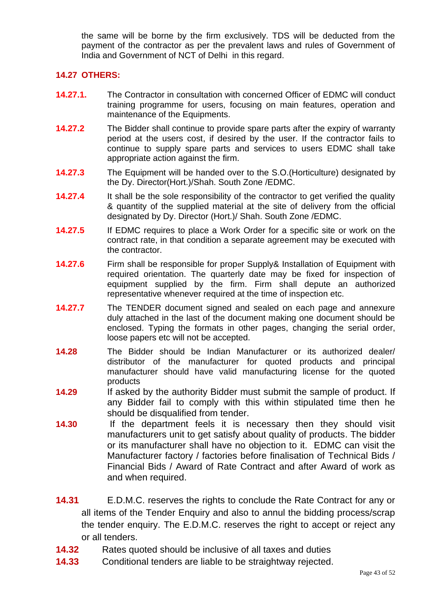the same will be borne by the firm exclusively. TDS will be deducted from the payment of the contractor as per the prevalent laws and rules of Government of India and Government of NCT of Delhi in this regard.

## **14.27 OTHERS:**

- **14.27.1.** The Contractor in consultation with concerned Officer of EDMC will conduct training programme for users, focusing on main features, operation and maintenance of the Equipments.
- **14.27.2** The Bidder shall continue to provide spare parts after the expiry of warranty period at the users cost, if desired by the user. If the contractor fails to continue to supply spare parts and services to users EDMC shall take appropriate action against the firm.
- **14.27.3** The Equipment will be handed over to the S.O.(Horticulture) designated by the Dy. Director(Hort.)/Shah. South Zone /EDMC.
- **14.27.4** It shall be the sole responsibility of the contractor to get verified the quality & quantity of the supplied material at the site of delivery from the official designated by Dy. Director (Hort.)/ Shah. South Zone /EDMC.
- **14.27.5** If EDMC requires to place a Work Order for a specific site or work on the contract rate, in that condition a separate agreement may be executed with the contractor.
- **14.27.6** Firm shall be responsible for proper Supply& Installation of Equipment with required orientation. The quarterly date may be fixed for inspection of equipment supplied by the firm. Firm shall depute an authorized representative whenever required at the time of inspection etc.
- **14.27.7** The TENDER document signed and sealed on each page and annexure duly attached in the last of the document making one document should be enclosed. Typing the formats in other pages, changing the serial order, loose papers etc will not be accepted.
- **14.28** The Bidder should be Indian Manufacturer or its authorized dealer/ distributor of the manufacturer for quoted products and principal manufacturer should have valid manufacturing license for the quoted products
- **14.29** If asked by the authority Bidder must submit the sample of product. If any Bidder fail to comply with this within stipulated time then he should be disqualified from tender.
- **14.30** If the department feels it is necessary then they should visit manufacturers unit to get satisfy about quality of products. The bidder or its manufacturer shall have no objection to it. EDMC can visit the Manufacturer factory / factories before finalisation of Technical Bids / Financial Bids / Award of Rate Contract and after Award of work as and when required.
- **14.31** E.D.M.C. reserves the rights to conclude the Rate Contract for any or all items of the Tender Enquiry and also to annul the bidding process/scrap the tender enquiry. The E.D.M.C. reserves the right to accept or reject any or all tenders.
- **14.32** Rates quoted should be inclusive of all taxes and duties
- **14.33** Conditional tenders are liable to be straightway rejected.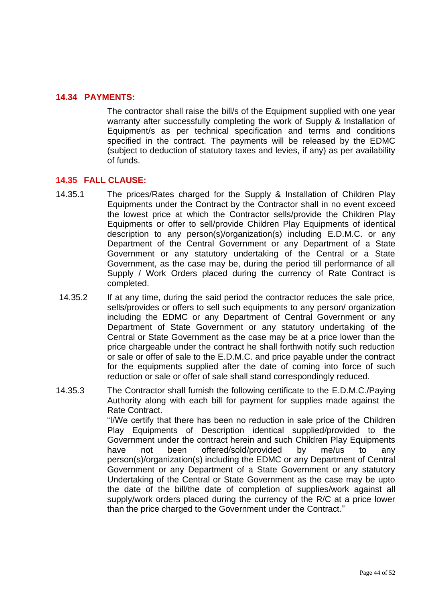## **14.34 PAYMENTS:**

The contractor shall raise the bill/s of the Equipment supplied with one year warranty after successfully completing the work of Supply & Installation of Equipment/s as per technical specification and terms and conditions specified in the contract. The payments will be released by the EDMC (subject to deduction of statutory taxes and levies, if any) as per availability of funds.

## **14.35 FALL CLAUSE:**

- 14.35.1 The prices/Rates charged for the Supply & Installation of Children Play Equipments under the Contract by the Contractor shall in no event exceed the lowest price at which the Contractor sells/provide the Children Play Equipments or offer to sell/provide Children Play Equipments of identical description to any person(s)/organization(s) including E.D.M.C. or any Department of the Central Government or any Department of a State Government or any statutory undertaking of the Central or a State Government, as the case may be, during the period till performance of all Supply / Work Orders placed during the currency of Rate Contract is completed.
- 14.35.2 If at any time, during the said period the contractor reduces the sale price, sells/provides or offers to sell such equipments to any person/ organization including the EDMC or any Department of Central Government or any Department of State Government or any statutory undertaking of the Central or State Government as the case may be at a price lower than the price chargeable under the contract he shall forthwith notify such reduction or sale or offer of sale to the E.D.M.C. and price payable under the contract for the equipments supplied after the date of coming into force of such reduction or sale or offer of sale shall stand correspondingly reduced.
- 14.35.3 The Contractor shall furnish the following certificate to the E.D.M.C./Paying Authority along with each bill for payment for supplies made against the Rate Contract. "I/We certify that there has been no reduction in sale price of the Children Play Equipments of Description identical supplied/provided to the Government under the contract herein and such Children Play Equipments have not been offered/sold/provided by me/us to any person(s)/organization(s) including the EDMC or any Department of Central Government or any Department of a State Government or any statutory Undertaking of the Central or State Government as the case may be upto the date of the bill/the date of completion of supplies/work against all supply/work orders placed during the currency of the R/C at a price lower than the price charged to the Government under the Contract."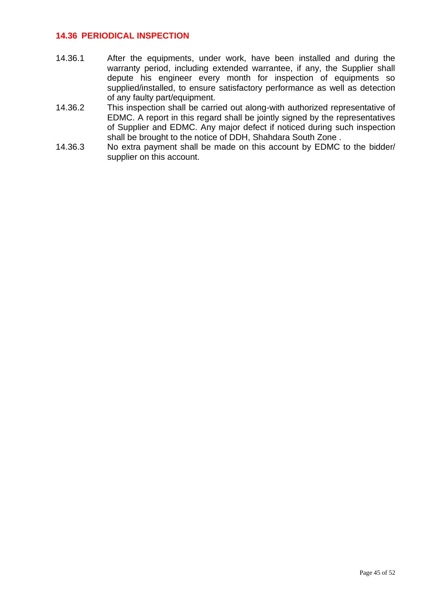## **14.36 PERIODICAL INSPECTION**

- 14.36.1 After the equipments, under work, have been installed and during the warranty period, including extended warrantee, if any, the Supplier shall depute his engineer every month for inspection of equipments so supplied/installed, to ensure satisfactory performance as well as detection of any faulty part/equipment.
- 14.36.2 This inspection shall be carried out along-with authorized representative of EDMC. A report in this regard shall be jointly signed by the representatives of Supplier and EDMC. Any major defect if noticed during such inspection shall be brought to the notice of DDH, Shahdara South Zone .
- 14.36.3 No extra payment shall be made on this account by EDMC to the bidder/ supplier on this account.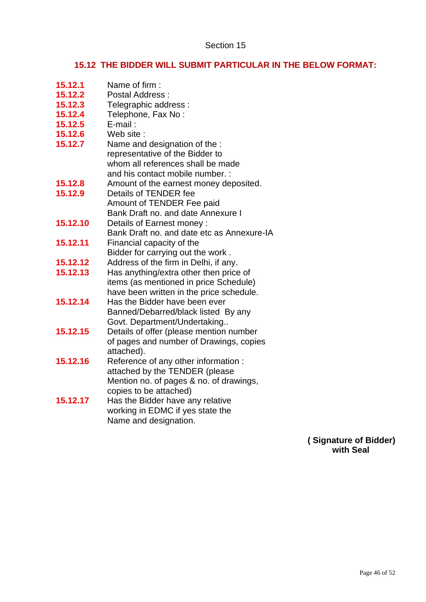# **15.12 THE BIDDER WILL SUBMIT PARTICULAR IN THE BELOW FORMAT:**

| 15.12.1  | Name of firm:                              |
|----------|--------------------------------------------|
| 15.12.2  | <b>Postal Address:</b>                     |
| 15.12.3  | Telegraphic address :                      |
| 15.12.4  | Telephone, Fax No:                         |
| 15.12.5  | $E$ -mail:                                 |
| 15.12.6  | Web site:                                  |
| 15.12.7  | Name and designation of the :              |
|          | representative of the Bidder to            |
|          | whom all references shall be made          |
|          | and his contact mobile number. :           |
| 15.12.8  | Amount of the earnest money deposited.     |
| 15.12.9  | Details of TENDER fee                      |
|          | Amount of TENDER Fee paid                  |
|          | Bank Draft no. and date Annexure I         |
| 15.12.10 | Details of Earnest money:                  |
|          | Bank Draft no. and date etc as Annexure-IA |
| 15.12.11 | Financial capacity of the                  |
|          | Bidder for carrying out the work.          |
| 15.12.12 | Address of the firm in Delhi, if any.      |
| 15.12.13 | Has anything/extra other then price of     |
|          | items (as mentioned in price Schedule)     |
|          | have been written in the price schedule.   |
| 15.12.14 | Has the Bidder have been ever              |
|          | Banned/Debarred/black listed By any        |
|          | Govt. Department/Undertaking               |
| 15.12.15 | Details of offer (please mention number    |
|          | of pages and number of Drawings, copies    |
|          | attached).                                 |
| 15.12.16 | Reference of any other information :       |
|          | attached by the TENDER (please             |
|          | Mention no. of pages & no. of drawings,    |
|          | copies to be attached)                     |
| 15.12.17 | Has the Bidder have any relative           |
|          | working in EDMC if yes state the           |
|          | Name and designation.                      |
|          |                                            |

**( Signature of Bidder) with Seal**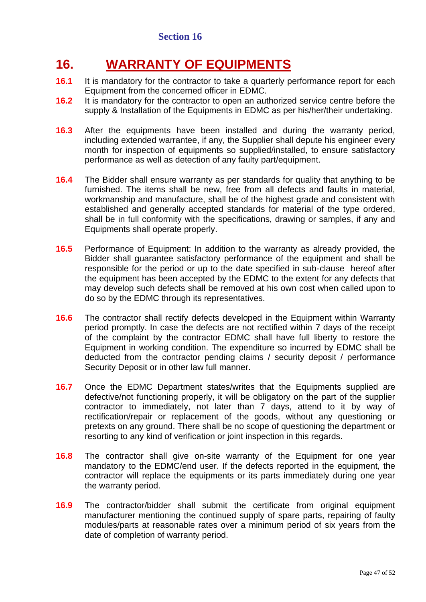# **16. WARRANTY OF EQUIPMENTS**

- **16.1** It is mandatory for the contractor to take a quarterly performance report for each Equipment from the concerned officer in EDMC.
- **16.2** It is mandatory for the contractor to open an authorized service centre before the supply & Installation of the Equipments in EDMC as per his/her/their undertaking.
- **16.3** After the equipments have been installed and during the warranty period, including extended warrantee, if any, the Supplier shall depute his engineer every month for inspection of equipments so supplied/installed, to ensure satisfactory performance as well as detection of any faulty part/equipment.
- **16.4** The Bidder shall ensure warranty as per standards for quality that anything to be furnished. The items shall be new, free from all defects and faults in material, workmanship and manufacture, shall be of the highest grade and consistent with established and generally accepted standards for material of the type ordered, shall be in full conformity with the specifications, drawing or samples, if any and Equipments shall operate properly.
- **16.5** Performance of Equipment: In addition to the warranty as already provided, the Bidder shall guarantee satisfactory performance of the equipment and shall be responsible for the period or up to the date specified in sub-clause hereof after the equipment has been accepted by the EDMC to the extent for any defects that may develop such defects shall be removed at his own cost when called upon to do so by the EDMC through its representatives.
- **16.6** The contractor shall rectify defects developed in the Equipment within Warranty period promptly. In case the defects are not rectified within 7 days of the receipt of the complaint by the contractor EDMC shall have full liberty to restore the Equipment in working condition. The expenditure so incurred by EDMC shall be deducted from the contractor pending claims / security deposit / performance Security Deposit or in other law full manner.
- **16.7** Once the EDMC Department states/writes that the Equipments supplied are defective/not functioning properly, it will be obligatory on the part of the supplier contractor to immediately, not later than 7 days, attend to it by way of rectification/repair or replacement of the goods, without any questioning or pretexts on any ground. There shall be no scope of questioning the department or resorting to any kind of verification or joint inspection in this regards.
- **16.8** The contractor shall give on-site warranty of the Equipment for one year mandatory to the EDMC/end user. If the defects reported in the equipment, the contractor will replace the equipments or its parts immediately during one year the warranty period.
- **16.9** The contractor/bidder shall submit the certificate from original equipment manufacturer mentioning the continued supply of spare parts, repairing of faulty modules/parts at reasonable rates over a minimum period of six years from the date of completion of warranty period.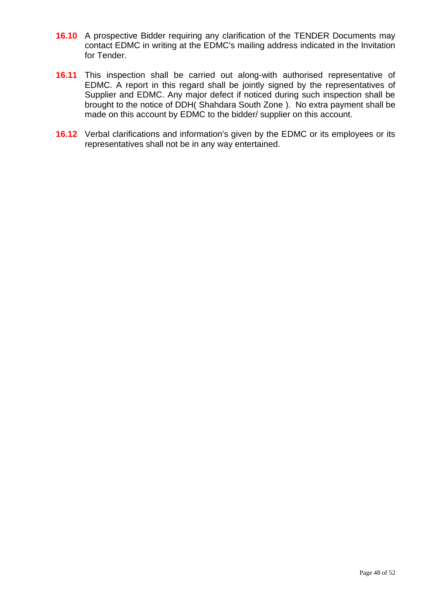- **16.10** A prospective Bidder requiring any clarification of the TENDER Documents may contact EDMC in writing at the EDMC's mailing address indicated in the Invitation for Tender.
- **16.11** This inspection shall be carried out along-with authorised representative of EDMC. A report in this regard shall be jointly signed by the representatives of Supplier and EDMC. Any major defect if noticed during such inspection shall be brought to the notice of DDH( Shahdara South Zone ). No extra payment shall be made on this account by EDMC to the bidder/ supplier on this account.
- **16.12** Verbal clarifications and information's given by the EDMC or its employees or its representatives shall not be in any way entertained.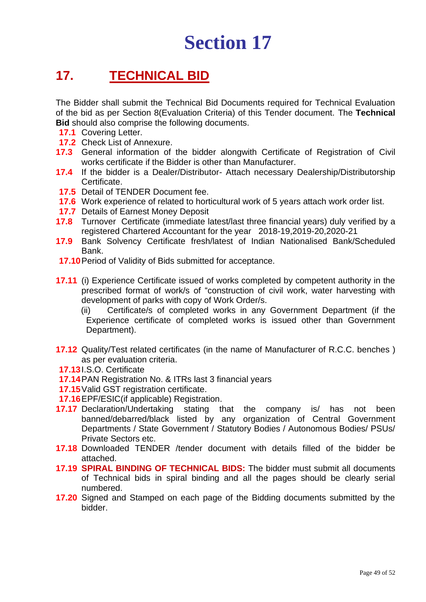# **Section 17**

# **17. TECHNICAL BID**

The Bidder shall submit the Technical Bid Documents required for Technical Evaluation of the bid as per Section 8(Evaluation Criteria) of this Tender document. The **Technical Bid** should also comprise the following documents.

- **17.1** Covering Letter.
- **17.2** Check List of Annexure.
- **17.3** General information of the bidder alongwith Certificate of Registration of Civil works certificate if the Bidder is other than Manufacturer.
- **17.4** If the bidder is a Dealer/Distributor- Attach necessary Dealership/Distributorship Certificate.
- **17.5** Detail of TENDER Document fee.
- **17.6** Work experience of related to horticultural work of 5 years attach work order list.
- **17.7** Details of Earnest Money Deposit
- **17.8** Turnover Certificate (immediate latest/last three financial years) duly verified by a registered Chartered Accountant for the year 2018-19,2019-20,2020-21
- **17.9** Bank Solvency Certificate fresh/latest of Indian Nationalised Bank/Scheduled Bank.
- **17.10**Period of Validity of Bids submitted for acceptance.
- **17.11** (i) Experience Certificate issued of works completed by competent authority in the prescribed format of work/s of "construction of civil work, water harvesting with development of parks with copy of Work Order/s.
	- (ii) Certificate/s of completed works in any Government Department (if the Experience certificate of completed works is issued other than Government Department).
- **17.12** Quality/Test related certificates (in the name of Manufacturer of R.C.C. benches ) as per evaluation criteria.
- **17.13**I.S.O. Certificate
- **17.14**PAN Registration No. & ITRs last 3 financial years
- **17.15**Valid GST registration certificate.
- **17.16**EPF/ESIC(if applicable) Registration.
- **17.17** Declaration/Undertaking stating that the company is/ has not been banned/debarred/black listed by any organization of Central Government Departments / State Government / Statutory Bodies / Autonomous Bodies/ PSUs/ Private Sectors etc.
- **17.18** Downloaded TENDER /tender document with details filled of the bidder be attached.
- **17.19 SPIRAL BINDING OF TECHNICAL BIDS:** The bidder must submit all documents of Technical bids in spiral binding and all the pages should be clearly serial numbered.
- **17.20** Signed and Stamped on each page of the Bidding documents submitted by the bidder.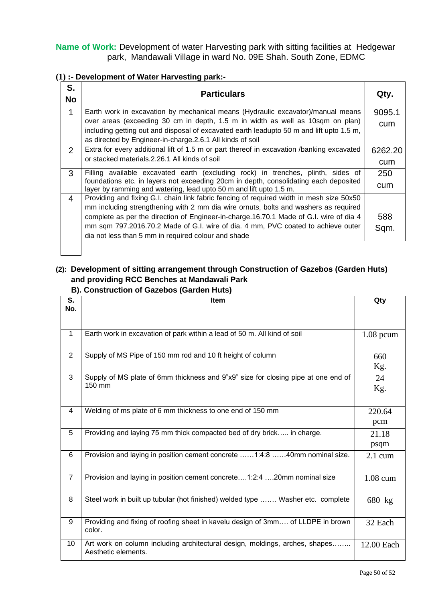**Name of Work:** Development of water Harvesting park with sitting facilities at Hedgewar park, Mandawali Village in ward No. 09E Shah. South Zone, EDMC

**(1) :- Development of Water Harvesting park:-**

| S.<br><b>No</b> | <b>Particulars</b>                                                                                                                                         |         |
|-----------------|------------------------------------------------------------------------------------------------------------------------------------------------------------|---------|
| $\mathbf{1}$    | Earth work in excavation by mechanical means (Hydraulic excavator)/manual means                                                                            | 9095.1  |
|                 | over areas (exceeding 30 cm in depth, 1.5 m in width as well as 10sqm on plan)                                                                             | cum     |
|                 | including getting out and disposal of excavated earth leadupto 50 m and lift upto 1.5 m,<br>as directed by Engineer-in-charge.2.6.1 All kinds of soil      |         |
| 2               | Extra for every additional lift of 1.5 m or part thereof in excavation /banking excavated                                                                  | 6262.20 |
|                 | or stacked materials.2.26.1 All kinds of soil                                                                                                              | cum     |
| 3               | Filling available excavated earth (excluding rock) in trenches, plinth, sides of                                                                           | 250     |
|                 | foundations etc. in layers not exceeding 20cm in depth, consolidating each deposited<br>layer by ramming and watering, lead upto 50 m and lift upto 1.5 m. | cum     |
| 4               | Providing and fixing G.I. chain link fabric fencing of required width in mesh size 50x50                                                                   |         |
|                 | mm including strengthening with 2 mm dia wire ornuts, bolts and washers as required                                                                        |         |
|                 | complete as per the direction of Engineer-in-charge.16.70.1 Made of G.I. wire of dia 4                                                                     | 588     |
|                 | mm sqm 797.2016.70.2 Made of G.I. wire of dia. 4 mm, PVC coated to achieve outer                                                                           | Sqm.    |
|                 | dia not less than 5 mm in required colour and shade                                                                                                        |         |
|                 |                                                                                                                                                            |         |

# **(2): Development of sitting arrangement through Construction of Gazebos (Garden Huts) and providing RCC Benches at Mandawali Park**

 **B). Construction of Gazebos (Garden Huts)**

| S.<br>No.      | Item                                                                                               |                   |
|----------------|----------------------------------------------------------------------------------------------------|-------------------|
|                |                                                                                                    |                   |
| $\mathbf{1}$   | Earth work in excavation of park within a lead of 50 m. All kind of soil                           | $1.08$ pcum       |
| 2              | Supply of MS Pipe of 150 mm rod and 10 ft height of column                                         | 660<br>Kg.        |
| 3              | Supply of MS plate of 6mm thickness and 9"x9" size for closing pipe at one end of<br>150 mm        | 24<br>Kg.         |
| $\overline{4}$ | Welding of ms plate of 6 mm thickness to one end of 150 mm                                         | 220.64<br>pcm     |
| 5              | Providing and laying 75 mm thick compacted bed of dry brick in charge.                             | 21.18<br>psqm     |
| 6              | Provision and laying in position cement concrete 1:4:8 40mm nominal size.                          | $2.1 \text{ cum}$ |
| $\overline{7}$ | Provision and laying in position cement concrete1:2:4 20mm nominal size                            | 1.08 cum          |
| 8              | Steel work in built up tubular (hot finished) welded type  Washer etc. complete                    | 680 kg            |
| 9              | Providing and fixing of roofing sheet in kavelu design of 3mm of LLDPE in brown<br>color.          | 32 Each           |
| 10             | Art work on column including architectural design, moldings, arches, shapes<br>Aesthetic elements. | 12.00 Each        |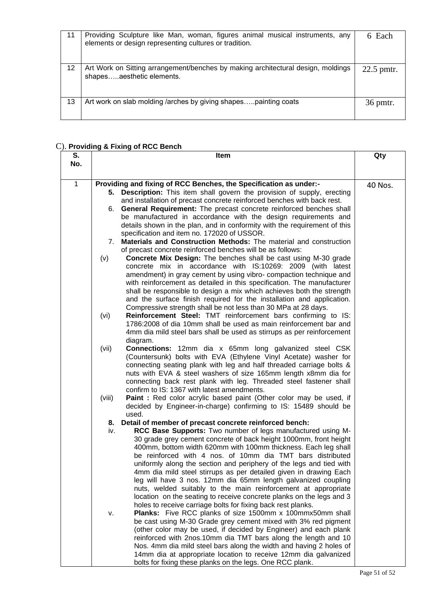| 11 | Providing Sculpture like Man, woman, figures animal musical instruments, any<br>elements or design representing cultures or tradition. | 6 Each     |
|----|----------------------------------------------------------------------------------------------------------------------------------------|------------|
| 12 | Art Work on Sitting arrangement/benches by making architectural design, moldings<br>shapesaesthetic elements.                          | 22.5 pmtr. |
| 13 | Art work on slab molding /arches by giving shapespainting coats                                                                        | 36 pmtr.   |

# C). **Providing & Fixing of RCC Bench**

| S.  | Item                                                                                                                                            | Qty     |
|-----|-------------------------------------------------------------------------------------------------------------------------------------------------|---------|
| No. |                                                                                                                                                 |         |
| 1   |                                                                                                                                                 |         |
|     | Providing and fixing of RCC Benches, the Specification as under:-<br>5. Description: This item shall govern the provision of supply, erecting   | 40 Nos. |
|     | and installation of precast concrete reinforced benches with back rest.                                                                         |         |
|     | General Requirement: The precast concrete reinforced benches shall<br>6.                                                                        |         |
|     | be manufactured in accordance with the design requirements and                                                                                  |         |
|     | details shown in the plan, and in conformity with the requirement of this                                                                       |         |
|     | specification and item no. 172020 of USSOR.                                                                                                     |         |
|     | 7. Materials and Construction Methods: The material and construction                                                                            |         |
|     | of precast concrete reinforced benches will be as follows:                                                                                      |         |
|     | <b>Concrete Mix Design:</b> The benches shall be cast using M-30 grade<br>(v)                                                                   |         |
|     | concrete mix in accordance with IS:10269: 2009 (with latest                                                                                     |         |
|     | amendment) in gray cement by using vibro- compaction technique and                                                                              |         |
|     | with reinforcement as detailed in this specification. The manufacturer                                                                          |         |
|     | shall be responsible to design a mix which achieves both the strength                                                                           |         |
|     | and the surface finish required for the installation and application.                                                                           |         |
|     | Compressive strength shall be not less than 30 MPa at 28 days.                                                                                  |         |
|     | Reinforcement Steel: TMT reinforcement bars confirming to IS:<br>(vi)                                                                           |         |
|     | 1786:2008 of dia 10mm shall be used as main reinforcement bar and                                                                               |         |
|     | 4mm dia mild steel bars shall be used as stirrups as per reinforcement                                                                          |         |
|     | diagram.                                                                                                                                        |         |
|     | (vii)<br>Connections: 12mm dia x 65mm long galvanized steel CSK                                                                                 |         |
|     | (Countersunk) bolts with EVA (Ethylene Vinyl Acetate) washer for                                                                                |         |
|     | connecting seating plank with leg and half threaded carriage bolts &                                                                            |         |
|     | nuts with EVA & steel washers of size 165mm length x8mm dia for                                                                                 |         |
|     | connecting back rest plank with leg. Threaded steel fastener shall                                                                              |         |
|     | confirm to IS: 1367 with latest amendments.                                                                                                     |         |
|     | Paint: Red color acrylic based paint (Other color may be used, if<br>(viii)<br>decided by Engineer-in-charge) confirming to IS: 15489 should be |         |
|     | used.                                                                                                                                           |         |
|     | Detail of member of precast concrete reinforced bench:<br>8.                                                                                    |         |
|     | RCC Base Supports: Two number of legs manufactured using M-<br>iv.                                                                              |         |
|     | 30 grade grey cement concrete of back height 1000mm, front height                                                                               |         |
|     | 400mm, bottom width 620mm with 100mm thickness. Each leg shall                                                                                  |         |
|     | be reinforced with 4 nos. of 10mm dia TMT bars distributed                                                                                      |         |
|     | uniformly along the section and periphery of the legs and tied with                                                                             |         |
|     | 4mm dia mild steel stirrups as per detailed given in drawing Each                                                                               |         |
|     | leg will have 3 nos. 12mm dia 65mm length galvanized coupling                                                                                   |         |
|     | nuts, welded suitably to the main reinforcement at appropriate                                                                                  |         |
|     | location on the seating to receive concrete planks on the legs and 3                                                                            |         |
|     | holes to receive carriage bolts for fixing back rest planks.                                                                                    |         |
|     | <b>Planks:</b> Five RCC planks of size 1500mm x 100mmx50mm shall<br>v.                                                                          |         |
|     | be cast using M-30 Grade grey cement mixed with 3% red pigment                                                                                  |         |
|     | (other color may be used, if decided by Engineer) and each plank                                                                                |         |
|     | reinforced with 2nos.10mm dia TMT bars along the length and 10                                                                                  |         |
|     | Nos. 4mm dia mild steel bars along the width and having 2 holes of                                                                              |         |
|     | 14mm dia at appropriate location to receive 12mm dia galvanized                                                                                 |         |
|     | bolts for fixing these planks on the legs. One RCC plank.                                                                                       |         |